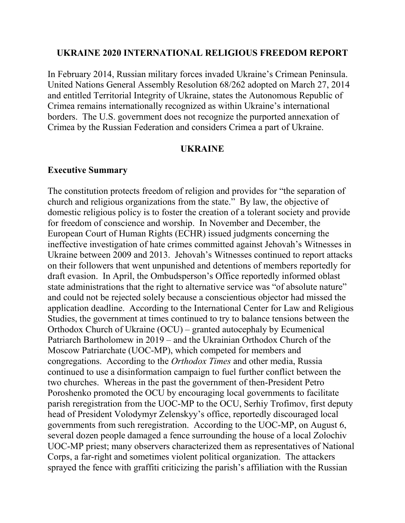#### **UKRAINE 2020 INTERNATIONAL RELIGIOUS FREEDOM REPORT**

In February 2014, Russian military forces invaded Ukraine's Crimean Peninsula. United Nations General Assembly Resolution 68/262 adopted on March 27, 2014 and entitled Territorial Integrity of Ukraine, states the Autonomous Republic of Crimea remains internationally recognized as within Ukraine's international borders. The U.S. government does not recognize the purported annexation of Crimea by the Russian Federation and considers Crimea a part of Ukraine.

#### **UKRAINE**

#### **Executive Summary**

The constitution protects freedom of religion and provides for "the separation of church and religious organizations from the state." By law, the objective of domestic religious policy is to foster the creation of a tolerant society and provide for freedom of conscience and worship. In November and December, the European Court of Human Rights (ECHR) issued judgments concerning the ineffective investigation of hate crimes committed against Jehovah's Witnesses in Ukraine between 2009 and 2013. Jehovah's Witnesses continued to report attacks on their followers that went unpunished and detentions of members reportedly for draft evasion. In April, the Ombudsperson's Office reportedly informed oblast state administrations that the right to alternative service was "of absolute nature" and could not be rejected solely because a conscientious objector had missed the application deadline. According to the International Center for Law and Religious Studies, the government at times continued to try to balance tensions between the Orthodox Church of Ukraine (OCU) – granted autocephaly by Ecumenical Patriarch Bartholomew in 2019 – and the Ukrainian Orthodox Church of the Moscow Patriarchate (UOC-MP), which competed for members and congregations. According to the *Orthodox Times* and other media, Russia continued to use a disinformation campaign to fuel further conflict between the two churches. Whereas in the past the government of then-President Petro Poroshenko promoted the OCU by encouraging local governments to facilitate parish reregistration from the UOC-MP to the OCU, Serhiy Trofimov, first deputy head of President Volodymyr Zelenskyy's office, reportedly discouraged local governments from such reregistration. According to the UOC-MP, on August 6, several dozen people damaged a fence surrounding the house of a local Zolochiv UOC-MP priest; many observers characterized them as representatives of National Corps, a far-right and sometimes violent political organization. The attackers sprayed the fence with graffiti criticizing the parish's affiliation with the Russian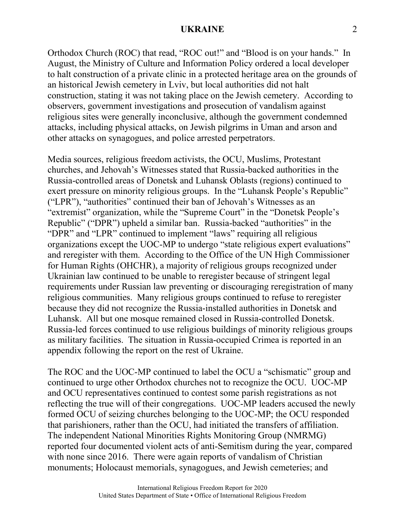Orthodox Church (ROC) that read, "ROC out!" and "Blood is on your hands." In August, the Ministry of Culture and Information Policy ordered a local developer to halt construction of a private clinic in a protected heritage area on the grounds of an historical Jewish cemetery in Lviv, but local authorities did not halt construction, stating it was not taking place on the Jewish cemetery. According to observers, government investigations and prosecution of vandalism against religious sites were generally inconclusive, although the government condemned attacks, including physical attacks, on Jewish pilgrims in Uman and arson and other attacks on synagogues, and police arrested perpetrators.

Media sources, religious freedom activists, the OCU, Muslims, Protestant churches, and Jehovah's Witnesses stated that Russia-backed authorities in the Russia-controlled areas of Donetsk and Luhansk Oblasts (regions) continued to exert pressure on minority religious groups. In the "Luhansk People's Republic" ("LPR"), "authorities" continued their ban of Jehovah's Witnesses as an "extremist" organization, while the "Supreme Court" in the "Donetsk People's Republic" ("DPR") upheld a similar ban. Russia-backed "authorities" in the "DPR" and "LPR" continued to implement "laws" requiring all religious organizations except the UOC-MP to undergo "state religious expert evaluations" and reregister with them. According to the Office of the UN High Commissioner for Human Rights (OHCHR), a majority of religious groups recognized under Ukrainian law continued to be unable to reregister because of stringent legal requirements under Russian law preventing or discouraging reregistration of many religious communities. Many religious groups continued to refuse to reregister because they did not recognize the Russia-installed authorities in Donetsk and Luhansk. All but one mosque remained closed in Russia-controlled Donetsk. Russia-led forces continued to use religious buildings of minority religious groups as military facilities. The situation in Russia-occupied Crimea is reported in an appendix following the report on the rest of Ukraine.

The ROC and the UOC-MP continued to label the OCU a "schismatic" group and continued to urge other Orthodox churches not to recognize the OCU. UOC-MP and OCU representatives continued to contest some parish registrations as not reflecting the true will of their congregations. UOC-MP leaders accused the newly formed OCU of seizing churches belonging to the UOC-MP; the OCU responded that parishioners, rather than the OCU, had initiated the transfers of affiliation. The independent National Minorities Rights Monitoring Group (NMRMG) reported four documented violent acts of anti-Semitism during the year, compared with none since 2016. There were again reports of vandalism of Christian monuments; Holocaust memorials, synagogues, and Jewish cemeteries; and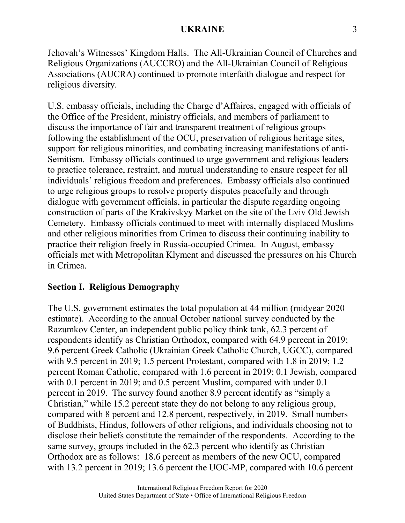Jehovah's Witnesses' Kingdom Halls. The All-Ukrainian Council of Churches and Religious Organizations (AUCCRO) and the All-Ukrainian Council of Religious Associations (AUCRA) continued to promote interfaith dialogue and respect for religious diversity.

U.S. embassy officials, including the Charge d'Affaires, engaged with officials of the Office of the President, ministry officials, and members of parliament to discuss the importance of fair and transparent treatment of religious groups following the establishment of the OCU, preservation of religious heritage sites, support for religious minorities, and combating increasing manifestations of anti-Semitism. Embassy officials continued to urge government and religious leaders to practice tolerance, restraint, and mutual understanding to ensure respect for all individuals' religious freedom and preferences. Embassy officials also continued to urge religious groups to resolve property disputes peacefully and through dialogue with government officials, in particular the dispute regarding ongoing construction of parts of the Krakivskyy Market on the site of the Lviv Old Jewish Cemetery. Embassy officials continued to meet with internally displaced Muslims and other religious minorities from Crimea to discuss their continuing inability to practice their religion freely in Russia-occupied Crimea. In August, embassy officials met with Metropolitan Klyment and discussed the pressures on his Church in Crimea.

# **Section I. Religious Demography**

The U.S. government estimates the total population at 44 million (midyear 2020 estimate). According to the annual October national survey conducted by the Razumkov Center, an independent public policy think tank, 62.3 percent of respondents identify as Christian Orthodox, compared with 64.9 percent in 2019; 9.6 percent Greek Catholic (Ukrainian Greek Catholic Church, UGCC), compared with 9.5 percent in 2019; 1.5 percent Protestant, compared with 1.8 in 2019; 1.2 percent Roman Catholic, compared with 1.6 percent in 2019; 0.1 Jewish, compared with 0.1 percent in 2019; and 0.5 percent Muslim, compared with under 0.1 percent in 2019. The survey found another 8.9 percent identify as "simply a Christian," while 15.2 percent state they do not belong to any religious group, compared with 8 percent and 12.8 percent, respectively, in 2019. Small numbers of Buddhists, Hindus, followers of other religions, and individuals choosing not to disclose their beliefs constitute the remainder of the respondents. According to the same survey, groups included in the 62.3 percent who identify as Christian Orthodox are as follows: 18.6 percent as members of the new OCU, compared with 13.2 percent in 2019; 13.6 percent the UOC-MP, compared with 10.6 percent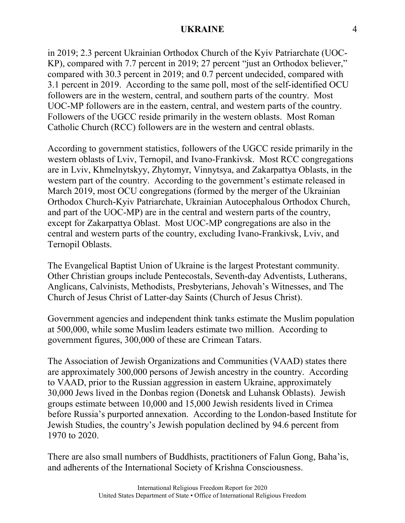in 2019; 2.3 percent Ukrainian Orthodox Church of the Kyiv Patriarchate (UOC-KP), compared with 7.7 percent in 2019; 27 percent "just an Orthodox believer," compared with 30.3 percent in 2019; and 0.7 percent undecided, compared with 3.1 percent in 2019. According to the same poll, most of the self-identified OCU followers are in the western, central, and southern parts of the country. Most UOC-MP followers are in the eastern, central, and western parts of the country. Followers of the UGCC reside primarily in the western oblasts. Most Roman Catholic Church (RCC) followers are in the western and central oblasts.

According to government statistics, followers of the UGCC reside primarily in the western oblasts of Lviv, Ternopil, and Ivano-Frankivsk. Most RCC congregations are in Lviv, Khmelnytskyy, Zhytomyr, Vinnytsya, and Zakarpattya Oblasts, in the western part of the country. According to the government's estimate released in March 2019, most OCU congregations (formed by the merger of the Ukrainian Orthodox Church-Kyiv Patriarchate, Ukrainian Autocephalous Orthodox Church, and part of the UOC-MP) are in the central and western parts of the country, except for Zakarpattya Oblast. Most UOC-MP congregations are also in the central and western parts of the country, excluding Ivano-Frankivsk, Lviv, and Ternopil Oblasts.

The Evangelical Baptist Union of Ukraine is the largest Protestant community. Other Christian groups include Pentecostals, Seventh-day Adventists, Lutherans, Anglicans, Calvinists, Methodists, Presbyterians, Jehovah's Witnesses, and The Church of Jesus Christ of Latter-day Saints (Church of Jesus Christ).

Government agencies and independent think tanks estimate the Muslim population at 500,000, while some Muslim leaders estimate two million. According to government figures, 300,000 of these are Crimean Tatars.

The Association of Jewish Organizations and Communities (VAAD) states there are approximately 300,000 persons of Jewish ancestry in the country. According to VAAD, prior to the Russian aggression in eastern Ukraine, approximately 30,000 Jews lived in the Donbas region (Donetsk and Luhansk Oblasts). Jewish groups estimate between 10,000 and 15,000 Jewish residents lived in Crimea before Russia's purported annexation. According to the London-based Institute for Jewish Studies, the country's Jewish population declined by 94.6 percent from 1970 to 2020.

There are also small numbers of Buddhists, practitioners of Falun Gong, Baha'is, and adherents of the International Society of Krishna Consciousness.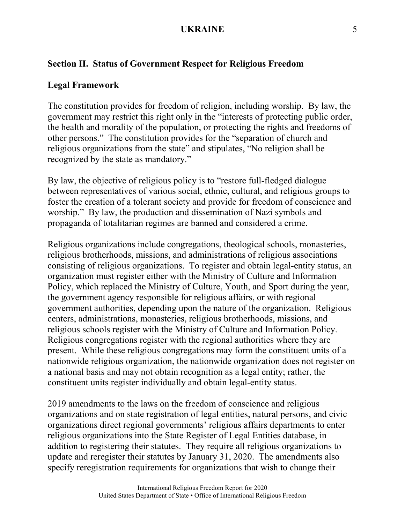# **Section II. Status of Government Respect for Religious Freedom**

# **Legal Framework**

The constitution provides for freedom of religion, including worship. By law, the government may restrict this right only in the "interests of protecting public order, the health and morality of the population, or protecting the rights and freedoms of other persons." The constitution provides for the "separation of church and religious organizations from the state" and stipulates, "No religion shall be recognized by the state as mandatory."

By law, the objective of religious policy is to "restore full-fledged dialogue between representatives of various social, ethnic, cultural, and religious groups to foster the creation of a tolerant society and provide for freedom of conscience and worship." By law, the production and dissemination of Nazi symbols and propaganda of totalitarian regimes are banned and considered a crime.

Religious organizations include congregations, theological schools, monasteries, religious brotherhoods, missions, and administrations of religious associations consisting of religious organizations. To register and obtain legal-entity status, an organization must register either with the Ministry of Culture and Information Policy, which replaced the Ministry of Culture, Youth, and Sport during the year, the government agency responsible for religious affairs, or with regional government authorities, depending upon the nature of the organization. Religious centers, administrations, monasteries, religious brotherhoods, missions, and religious schools register with the Ministry of Culture and Information Policy. Religious congregations register with the regional authorities where they are present. While these religious congregations may form the constituent units of a nationwide religious organization, the nationwide organization does not register on a national basis and may not obtain recognition as a legal entity; rather, the constituent units register individually and obtain legal-entity status.

2019 amendments to the laws on the freedom of conscience and religious organizations and on state registration of legal entities, natural persons, and civic organizations direct regional governments' religious affairs departments to enter religious organizations into the State Register of Legal Entities database, in addition to registering their statutes. They require all religious organizations to update and reregister their statutes by January 31, 2020. The amendments also specify reregistration requirements for organizations that wish to change their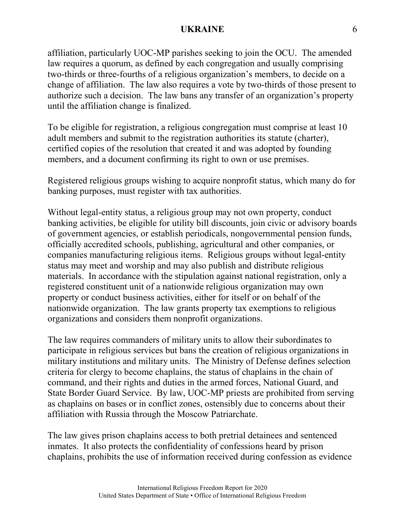affiliation, particularly UOC-MP parishes seeking to join the OCU. The amended law requires a quorum, as defined by each congregation and usually comprising two-thirds or three-fourths of a religious organization's members, to decide on a change of affiliation. The law also requires a vote by two-thirds of those present to authorize such a decision. The law bans any transfer of an organization's property until the affiliation change is finalized.

To be eligible for registration, a religious congregation must comprise at least 10 adult members and submit to the registration authorities its statute (charter), certified copies of the resolution that created it and was adopted by founding members, and a document confirming its right to own or use premises.

Registered religious groups wishing to acquire nonprofit status, which many do for banking purposes, must register with tax authorities.

Without legal-entity status, a religious group may not own property, conduct banking activities, be eligible for utility bill discounts, join civic or advisory boards of government agencies, or establish periodicals, nongovernmental pension funds, officially accredited schools, publishing, agricultural and other companies, or companies manufacturing religious items. Religious groups without legal-entity status may meet and worship and may also publish and distribute religious materials. In accordance with the stipulation against national registration, only a registered constituent unit of a nationwide religious organization may own property or conduct business activities, either for itself or on behalf of the nationwide organization. The law grants property tax exemptions to religious organizations and considers them nonprofit organizations.

The law requires commanders of military units to allow their subordinates to participate in religious services but bans the creation of religious organizations in military institutions and military units. The Ministry of Defense defines selection criteria for clergy to become chaplains, the status of chaplains in the chain of command, and their rights and duties in the armed forces, National Guard, and State Border Guard Service. By law, UOC-MP priests are prohibited from serving as chaplains on bases or in conflict zones, ostensibly due to concerns about their affiliation with Russia through the Moscow Patriarchate.

The law gives prison chaplains access to both pretrial detainees and sentenced inmates. It also protects the confidentiality of confessions heard by prison chaplains, prohibits the use of information received during confession as evidence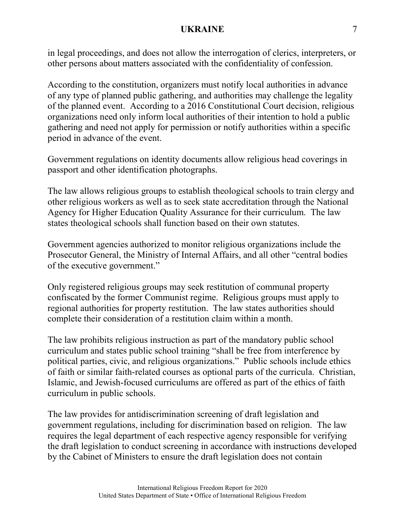in legal proceedings, and does not allow the interrogation of clerics, interpreters, or other persons about matters associated with the confidentiality of confession.

According to the constitution, organizers must notify local authorities in advance of any type of planned public gathering, and authorities may challenge the legality of the planned event. According to a 2016 Constitutional Court decision, religious organizations need only inform local authorities of their intention to hold a public gathering and need not apply for permission or notify authorities within a specific period in advance of the event.

Government regulations on identity documents allow religious head coverings in passport and other identification photographs.

The law allows religious groups to establish theological schools to train clergy and other religious workers as well as to seek state accreditation through the National Agency for Higher Education Quality Assurance for their curriculum. The law states theological schools shall function based on their own statutes.

Government agencies authorized to monitor religious organizations include the Prosecutor General, the Ministry of Internal Affairs, and all other "central bodies of the executive government."

Only registered religious groups may seek restitution of communal property confiscated by the former Communist regime. Religious groups must apply to regional authorities for property restitution. The law states authorities should complete their consideration of a restitution claim within a month.

The law prohibits religious instruction as part of the mandatory public school curriculum and states public school training "shall be free from interference by political parties, civic, and religious organizations." Public schools include ethics of faith or similar faith-related courses as optional parts of the curricula. Christian, Islamic, and Jewish-focused curriculums are offered as part of the ethics of faith curriculum in public schools.

The law provides for antidiscrimination screening of draft legislation and government regulations, including for discrimination based on religion. The law requires the legal department of each respective agency responsible for verifying the draft legislation to conduct screening in accordance with instructions developed by the Cabinet of Ministers to ensure the draft legislation does not contain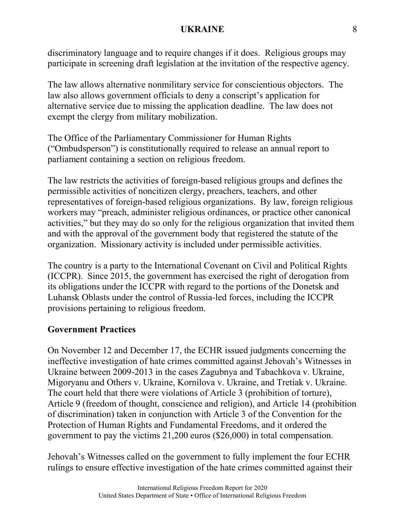discriminatory language and to require changes if it does. Religious groups may participate in screening draft legislation at the invitation of the respective agency.

The law allows alternative nonmilitary service for conscientious objectors. The law also allows government officials to deny a conscript's application for alternative service due to missing the application deadline. The law does not exempt the clergy from military mobilization.

The Office of the Parliamentary Commissioner for Human Rights ("Ombudsperson") is constitutionally required to release an annual report to parliament containing a section on religious freedom.

The law restricts the activities of foreign-based religious groups and defines the permissible activities of noncitizen clergy, preachers, teachers, and other representatives of foreign-based religious organizations. By law, foreign religious workers may "preach, administer religious ordinances, or practice other canonical activities," but they may do so only for the religious organization that invited them and with the approval of the government body that registered the statute of the organization. Missionary activity is included under permissible activities.

The country is a party to the International Covenant on Civil and Political Rights (ICCPR). Since 2015, the government has exercised the right of derogation from its obligations under the ICCPR with regard to the portions of the Donetsk and Luhansk Oblasts under the control of Russia-led forces, including the ICCPR provisions pertaining to religious freedom.

# **Government Practices**

On November 12 and December 17, the ECHR issued judgments concerning the ineffective investigation of hate crimes committed against Jehovah's Witnesses in Ukraine between 2009-2013 in the cases Zagubnya and Tabachkova v. Ukraine, Migoryanu and Others v. Ukraine, Kornilova v. Ukraine, and Tretiak v. Ukraine. The court held that there were violations of Article 3 (prohibition of torture), Article 9 (freedom of thought, conscience and religion), and Article 14 (prohibition of discrimination) taken in conjunction with Article 3 of the Convention for the Protection of Human Rights and Fundamental Freedoms, and it ordered the government to pay the victims 21,200 euros (\$26,000) in total compensation.

Jehovah's Witnesses called on the government to fully implement the four ECHR rulings to ensure effective investigation of the hate crimes committed against their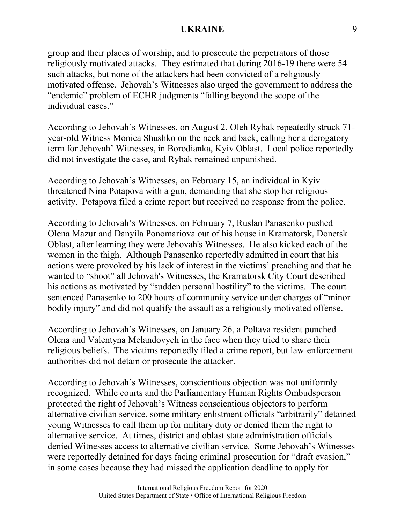group and their places of worship, and to prosecute the perpetrators of those religiously motivated attacks. They estimated that during 2016-19 there were 54 such attacks, but none of the attackers had been convicted of a religiously motivated offense. Jehovah's Witnesses also urged the government to address the "endemic" problem of ECHR judgments "falling beyond the scope of the individual cases."

According to Jehovah's Witnesses, on August 2, Oleh Rybak repeatedly struck 71 year-old Witness Monica Shushko on the neck and back, calling her a derogatory term for Jehovah' Witnesses, in Borodianka, Kyiv Oblast. Local police reportedly did not investigate the case, and Rybak remained unpunished.

According to Jehovah's Witnesses, on February 15, an individual in Kyiv threatened Nina Potapova with a gun, demanding that she stop her religious activity. Potapova filed a crime report but received no response from the police.

According to Jehovah's Witnesses, on February 7, Ruslan Panasenko pushed Olena Mazur and Danyila Ponomariova out of his house in Kramatorsk, Donetsk Oblast, after learning they were Jehovah's Witnesses. He also kicked each of the women in the thigh. Although Panasenko reportedly admitted in court that his actions were provoked by his lack of interest in the victims' preaching and that he wanted to "shoot" all Jehovah's Witnesses, the Kramatorsk City Court described his actions as motivated by "sudden personal hostility" to the victims. The court sentenced Panasenko to 200 hours of community service under charges of "minor bodily injury" and did not qualify the assault as a religiously motivated offense.

According to Jehovah's Witnesses, on January 26, a Poltava resident punched Olena and Valentyna Melandovych in the face when they tried to share their religious beliefs. The victims reportedly filed a crime report, but law-enforcement authorities did not detain or prosecute the attacker.

According to Jehovah's Witnesses, conscientious objection was not uniformly recognized. While courts and the Parliamentary Human Rights Ombudsperson protected the right of Jehovah's Witness conscientious objectors to perform alternative civilian service, some military enlistment officials "arbitrarily" detained young Witnesses to call them up for military duty or denied them the right to alternative service. At times, district and oblast state administration officials denied Witnesses access to alternative civilian service. Some Jehovah's Witnesses were reportedly detained for days facing criminal prosecution for "draft evasion," in some cases because they had missed the application deadline to apply for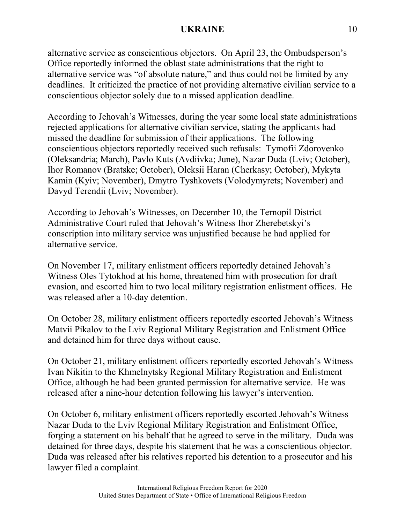alternative service as conscientious objectors. On April 23, the Ombudsperson's Office reportedly informed the oblast state administrations that the right to alternative service was "of absolute nature," and thus could not be limited by any deadlines. It criticized the practice of not providing alternative civilian service to a conscientious objector solely due to a missed application deadline.

According to Jehovah's Witnesses, during the year some local state administrations rejected applications for alternative civilian service, stating the applicants had missed the deadline for submission of their applications. The following conscientious objectors reportedly received such refusals: Tymofii Zdorovenko (Oleksandria; March), Pavlo Kuts (Avdiivka; June), Nazar Duda (Lviv; October), Ihor Romanov (Bratske; October), Oleksii Haran (Cherkasy; October), Mykyta Kamin (Kyiv; November), Dmytro Tyshkovets (Volodymyrets; November) and Davyd Terendii (Lviv; November).

According to Jehovah's Witnesses, on December 10, the Ternopil District Administrative Court ruled that Jehovah's Witness Ihor Zherebetskyi's conscription into military service was unjustified because he had applied for alternative service.

On November 17, military enlistment officers reportedly detained Jehovah's Witness Oles Tytokhod at his home, threatened him with prosecution for draft evasion, and escorted him to two local military registration enlistment offices. He was released after a 10-day detention.

On October 28, military enlistment officers reportedly escorted Jehovah's Witness Matvii Pikalov to the Lviv Regional Military Registration and Enlistment Office and detained him for three days without cause.

On October 21, military enlistment officers reportedly escorted Jehovah's Witness Ivan Nikitin to the Khmelnytsky Regional Military Registration and Enlistment Office, although he had been granted permission for alternative service. He was released after a nine-hour detention following his lawyer's intervention.

On October 6, military enlistment officers reportedly escorted Jehovah's Witness Nazar Duda to the Lviv Regional Military Registration and Enlistment Office, forging a statement on his behalf that he agreed to serve in the military. Duda was detained for three days, despite his statement that he was a conscientious objector. Duda was released after his relatives reported his detention to a prosecutor and his lawyer filed a complaint.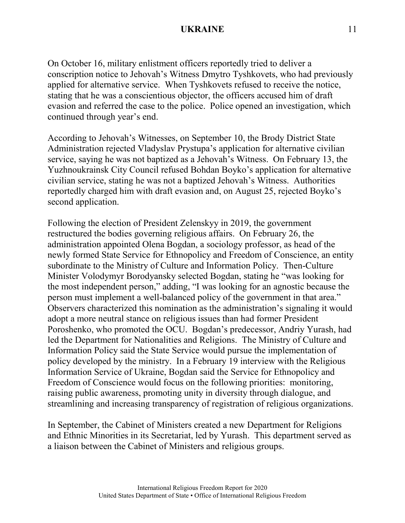On October 16, military enlistment officers reportedly tried to deliver a conscription notice to Jehovah's Witness Dmytro Tyshkovets, who had previously applied for alternative service. When Tyshkovets refused to receive the notice, stating that he was a conscientious objector, the officers accused him of draft evasion and referred the case to the police. Police opened an investigation, which continued through year's end.

According to Jehovah's Witnesses, on September 10, the Brody District State Administration rejected Vladyslav Prystupa's application for alternative civilian service, saying he was not baptized as a Jehovah's Witness. On February 13, the Yuzhnoukrainsk City Council refused Bohdan Boyko's application for alternative civilian service, stating he was not a baptized Jehovah's Witness. Authorities reportedly charged him with draft evasion and, on August 25, rejected Boyko's second application.

Following the election of President Zelenskyy in 2019, the government restructured the bodies governing religious affairs. On February 26, the administration appointed Olena Bogdan, a sociology professor, as head of the newly formed State Service for Ethnopolicy and Freedom of Conscience, an entity subordinate to the Ministry of Culture and Information Policy. Then-Culture Minister Volodymyr Borodyansky selected Bogdan, stating he "was looking for the most independent person," adding, "I was looking for an agnostic because the person must implement a well-balanced policy of the government in that area." Observers characterized this nomination as the administration's signaling it would adopt a more neutral stance on religious issues than had former President Poroshenko, who promoted the OCU. Bogdan's predecessor, Andriy Yurash, had led the Department for Nationalities and Religions. The Ministry of Culture and Information Policy said the State Service would pursue the implementation of policy developed by the ministry. In a February 19 interview with the Religious Information Service of Ukraine, Bogdan said the Service for Ethnopolicy and Freedom of Conscience would focus on the following priorities: monitoring, raising public awareness, promoting unity in diversity through dialogue, and streamlining and increasing transparency of registration of religious organizations.

In September, the Cabinet of Ministers created a new Department for Religions and Ethnic Minorities in its Secretariat, led by Yurash. This department served as a liaison between the Cabinet of Ministers and religious groups.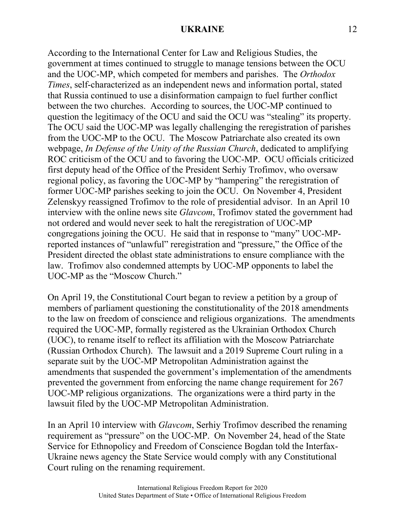According to the International Center for Law and Religious Studies, the government at times continued to struggle to manage tensions between the OCU and the UOC-MP, which competed for members and parishes. The *Orthodox Times*, self-characterized as an independent news and information portal, stated that Russia continued to use a disinformation campaign to fuel further conflict between the two churches. According to sources, the UOC-MP continued to question the legitimacy of the OCU and said the OCU was "stealing" its property. The OCU said the UOC-MP was legally challenging the reregistration of parishes from the UOC-MP to the OCU. The Moscow Patriarchate also created its own webpage, *In Defense of the Unity of the Russian Church*, dedicated to amplifying ROC criticism of the OCU and to favoring the UOC-MP. OCU officials criticized first deputy head of the Office of the President Serhiy Trofimov, who oversaw regional policy, as favoring the UOC-MP by "hampering" the reregistration of former UOC-MP parishes seeking to join the OCU. On November 4, President Zelenskyy reassigned Trofimov to the role of presidential advisor. In an April 10 interview with the online news site *Glavcom*, Trofimov stated the government had not ordered and would never seek to halt the reregistration of UOC-MP congregations joining the OCU. He said that in response to "many" UOC-MPreported instances of "unlawful" reregistration and "pressure," the Office of the President directed the oblast state administrations to ensure compliance with the law. Trofimov also condemned attempts by UOC-MP opponents to label the UOC-MP as the "Moscow Church."

On April 19, the Constitutional Court began to review a petition by a group of members of parliament questioning the constitutionality of the 2018 amendments to the law on freedom of conscience and religious organizations. The amendments required the UOC-MP, formally registered as the Ukrainian Orthodox Church (UOC), to rename itself to reflect its affiliation with the Moscow Patriarchate (Russian Orthodox Church). The lawsuit and a 2019 Supreme Court ruling in a separate suit by the UOC-MP Metropolitan Administration against the amendments that suspended the government's implementation of the amendments prevented the government from enforcing the name change requirement for 267 UOC-MP religious organizations. The organizations were a third party in the lawsuit filed by the UOC-MP Metropolitan Administration.

In an April 10 interview with *Glavcom*, Serhiy Trofimov described the renaming requirement as "pressure" on the UOC-MP. On November 24, head of the State Service for Ethnopolicy and Freedom of Conscience Bogdan told the Interfax-Ukraine news agency the State Service would comply with any Constitutional Court ruling on the renaming requirement.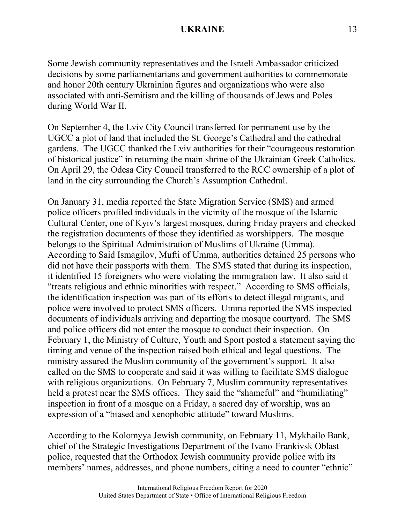Some Jewish community representatives and the Israeli Ambassador criticized decisions by some parliamentarians and government authorities to commemorate and honor 20th century Ukrainian figures and organizations who were also associated with anti-Semitism and the killing of thousands of Jews and Poles during World War II.

On September 4, the Lviv City Council transferred for permanent use by the UGCC a plot of land that included the St. George's Cathedral and the cathedral gardens. The UGCC thanked the Lviv authorities for their "courageous restoration of historical justice" in returning the main shrine of the Ukrainian Greek Catholics. On April 29, the Odesa City Council transferred to the RCC ownership of a plot of land in the city surrounding the Church's Assumption Cathedral.

On January 31, media reported the State Migration Service (SMS) and armed police officers profiled individuals in the vicinity of the mosque of the Islamic Cultural Center, one of Kyiv's largest mosques, during Friday prayers and checked the registration documents of those they identified as worshippers. The mosque belongs to the Spiritual Administration of Muslims of Ukraine (Umma). According to Said Ismagilov, Mufti of Umma, authorities detained 25 persons who did not have their passports with them. The SMS stated that during its inspection, it identified 15 foreigners who were violating the immigration law. It also said it "treats religious and ethnic minorities with respect." According to SMS officials, the identification inspection was part of its efforts to detect illegal migrants, and police were involved to protect SMS officers. Umma reported the SMS inspected documents of individuals arriving and departing the mosque courtyard. The SMS and police officers did not enter the mosque to conduct their inspection. On February 1, the Ministry of Culture, Youth and Sport posted a statement saying the timing and venue of the inspection raised both ethical and legal questions. The ministry assured the Muslim community of the government's support. It also called on the SMS to cooperate and said it was willing to facilitate SMS dialogue with religious organizations. On February 7, Muslim community representatives held a protest near the SMS offices. They said the "shameful" and "humiliating" inspection in front of a mosque on a Friday, a sacred day of worship, was an expression of a "biased and xenophobic attitude" toward Muslims.

According to the Kolomyya Jewish community, on February 11, Mykhailo Bank, chief of the Strategic Investigations Department of the Ivano-Frankivsk Oblast police, requested that the Orthodox Jewish community provide police with its members' names, addresses, and phone numbers, citing a need to counter "ethnic"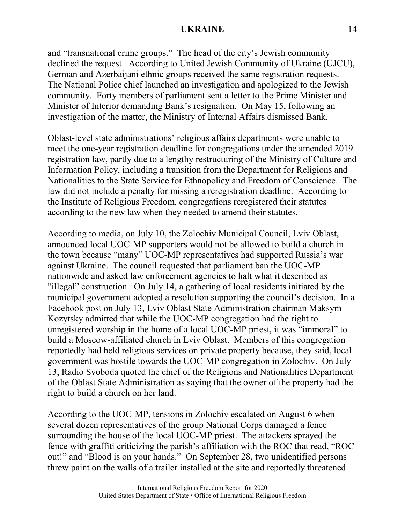and "transnational crime groups." The head of the city's Jewish community declined the request. According to United Jewish Community of Ukraine (UJCU), German and Azerbaijani ethnic groups received the same registration requests. The National Police chief launched an investigation and apologized to the Jewish community. Forty members of parliament sent a letter to the Prime Minister and Minister of Interior demanding Bank's resignation. On May 15, following an investigation of the matter, the Ministry of Internal Affairs dismissed Bank.

Oblast-level state administrations' religious affairs departments were unable to meet the one-year registration deadline for congregations under the amended 2019 registration law, partly due to a lengthy restructuring of the Ministry of Culture and Information Policy, including a transition from the Department for Religions and Nationalities to the State Service for Ethnopolicy and Freedom of Conscience. The law did not include a penalty for missing a reregistration deadline. According to the Institute of Religious Freedom, congregations reregistered their statutes according to the new law when they needed to amend their statutes.

According to media, on July 10, the Zolochiv Municipal Council, Lviv Oblast, announced local UOC-MP supporters would not be allowed to build a church in the town because "many" UOC-MP representatives had supported Russia's war against Ukraine. The council requested that parliament ban the UOC-MP nationwide and asked law enforcement agencies to halt what it described as "illegal" construction. On July 14, a gathering of local residents initiated by the municipal government adopted a resolution supporting the council's decision. In a Facebook post on July 13, Lviv Oblast State Administration chairman Maksym Kozytsky admitted that while the UOC-MP congregation had the right to unregistered worship in the home of a local UOC-MP priest, it was "immoral" to build a Moscow-affiliated church in Lviv Oblast. Members of this congregation reportedly had held religious services on private property because, they said, local government was hostile towards the UOC-MP congregation in Zolochiv. On July 13, Radio Svoboda quoted the chief of the Religions and Nationalities Department of the Oblast State Administration as saying that the owner of the property had the right to build a church on her land.

According to the UOC-MP, tensions in Zolochiv escalated on August 6 when several dozen representatives of the group National Corps damaged a fence surrounding the house of the local UOC-MP priest. The attackers sprayed the fence with graffiti criticizing the parish's affiliation with the ROC that read, "ROC out!" and "Blood is on your hands." On September 28, two unidentified persons threw paint on the walls of a trailer installed at the site and reportedly threatened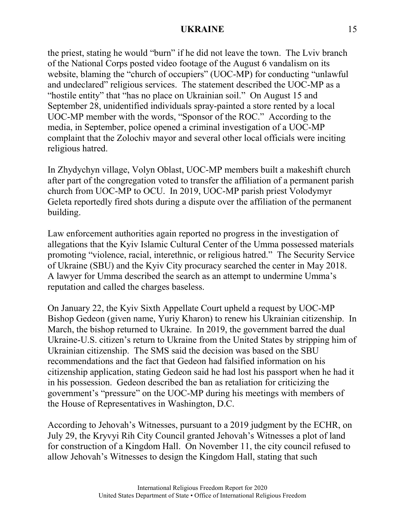the priest, stating he would "burn" if he did not leave the town. The Lviv branch of the National Corps posted video footage of the August 6 vandalism on its website, blaming the "church of occupiers" (UOC-MP) for conducting "unlawful and undeclared" religious services. The statement described the UOC-MP as a "hostile entity" that "has no place on Ukrainian soil." On August 15 and September 28, unidentified individuals spray-painted a store rented by a local UOC-MP member with the words, "Sponsor of the ROC." According to the media, in September, police opened a criminal investigation of a UOC-MP complaint that the Zolochiv mayor and several other local officials were inciting religious hatred.

In Zhydychyn village, Volyn Oblast, UOC-MP members built a makeshift church after part of the congregation voted to transfer the affiliation of a permanent parish church from UOC-MP to OCU. In 2019, UOC-MP parish priest Volodymyr Geleta reportedly fired shots during a dispute over the affiliation of the permanent building.

Law enforcement authorities again reported no progress in the investigation of allegations that the Kyiv Islamic Cultural Center of the Umma possessed materials promoting "violence, racial, interethnic, or religious hatred." The Security Service of Ukraine (SBU) and the Kyiv City procuracy searched the center in May 2018. A lawyer for Umma described the search as an attempt to undermine Umma's reputation and called the charges baseless.

On January 22, the Kyiv Sixth Appellate Court upheld a request by UOC-MP Bishop Gedeon (given name, Yuriy Kharon) to renew his Ukrainian citizenship. In March, the bishop returned to Ukraine. In 2019, the government barred the dual Ukraine-U.S. citizen's return to Ukraine from the United States by stripping him of Ukrainian citizenship. The SMS said the decision was based on the SBU recommendations and the fact that Gedeon had falsified information on his citizenship application, stating Gedeon said he had lost his passport when he had it in his possession. Gedeon described the ban as retaliation for criticizing the government's "pressure" on the UOC-MP during his meetings with members of the House of Representatives in Washington, D.C.

According to Jehovah's Witnesses, pursuant to a 2019 judgment by the ECHR, on July 29, the Kryvyi Rih City Council granted Jehovah's Witnesses a plot of land for construction of a Kingdom Hall. On November 11, the city council refused to allow Jehovah's Witnesses to design the Kingdom Hall, stating that such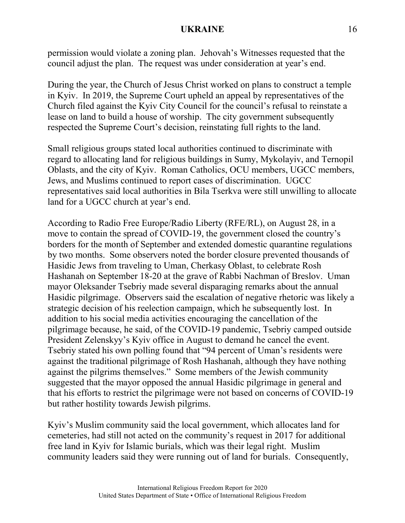permission would violate a zoning plan. Jehovah's Witnesses requested that the council adjust the plan. The request was under consideration at year's end.

During the year, the Church of Jesus Christ worked on plans to construct a temple in Kyiv. In 2019, the Supreme Court upheld an appeal by representatives of the Church filed against the Kyiv City Council for the council's refusal to reinstate a lease on land to build a house of worship. The city government subsequently respected the Supreme Court's decision, reinstating full rights to the land.

Small religious groups stated local authorities continued to discriminate with regard to allocating land for religious buildings in Sumy, Mykolayiv, and Ternopil Oblasts, and the city of Kyiv. Roman Catholics, OCU members, UGCC members, Jews, and Muslims continued to report cases of discrimination. UGCC representatives said local authorities in Bila Tserkva were still unwilling to allocate land for a UGCC church at year's end.

According to Radio Free Europe/Radio Liberty (RFE/RL), on August 28, in a move to contain the spread of COVID-19, the government closed the country's borders for the month of September and extended domestic quarantine regulations by two months. Some observers noted the border closure prevented thousands of Hasidic Jews from traveling to Uman, Cherkasy Oblast, to celebrate Rosh Hashanah on September 18-20 at the grave of Rabbi Nachman of Breslov. Uman mayor Oleksander Tsebriy made several disparaging remarks about the annual Hasidic pilgrimage. Observers said the escalation of negative rhetoric was likely a strategic decision of his reelection campaign, which he subsequently lost. In addition to his social media activities encouraging the cancellation of the pilgrimage because, he said, of the COVID-19 pandemic, Tsebriy camped outside President Zelenskyy's Kyiv office in August to demand he cancel the event. Tsebriy stated his own polling found that "94 percent of Uman's residents were against the traditional pilgrimage of Rosh Hashanah, although they have nothing against the pilgrims themselves." Some members of the Jewish community suggested that the mayor opposed the annual Hasidic pilgrimage in general and that his efforts to restrict the pilgrimage were not based on concerns of COVID-19 but rather hostility towards Jewish pilgrims.

Kyiv's Muslim community said the local government, which allocates land for cemeteries, had still not acted on the community's request in 2017 for additional free land in Kyiv for Islamic burials, which was their legal right. Muslim community leaders said they were running out of land for burials. Consequently,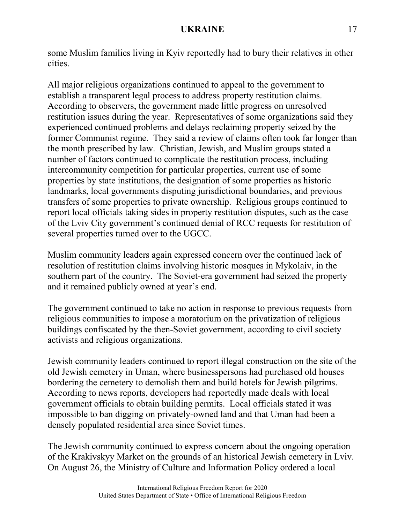some Muslim families living in Kyiv reportedly had to bury their relatives in other cities.

All major religious organizations continued to appeal to the government to establish a transparent legal process to address property restitution claims. According to observers, the government made little progress on unresolved restitution issues during the year. Representatives of some organizations said they experienced continued problems and delays reclaiming property seized by the former Communist regime. They said a review of claims often took far longer than the month prescribed by law. Christian, Jewish, and Muslim groups stated a number of factors continued to complicate the restitution process, including intercommunity competition for particular properties, current use of some properties by state institutions, the designation of some properties as historic landmarks, local governments disputing jurisdictional boundaries, and previous transfers of some properties to private ownership. Religious groups continued to report local officials taking sides in property restitution disputes, such as the case of the Lviv City government's continued denial of RCC requests for restitution of several properties turned over to the UGCC.

Muslim community leaders again expressed concern over the continued lack of resolution of restitution claims involving historic mosques in Mykolaiv, in the southern part of the country. The Soviet-era government had seized the property and it remained publicly owned at year's end.

The government continued to take no action in response to previous requests from religious communities to impose a moratorium on the privatization of religious buildings confiscated by the then-Soviet government, according to civil society activists and religious organizations.

Jewish community leaders continued to report illegal construction on the site of the old Jewish cemetery in Uman, where businesspersons had purchased old houses bordering the cemetery to demolish them and build hotels for Jewish pilgrims. According to news reports, developers had reportedly made deals with local government officials to obtain building permits. Local officials stated it was impossible to ban digging on privately-owned land and that Uman had been a densely populated residential area since Soviet times.

The Jewish community continued to express concern about the ongoing operation of the Krakivskyy Market on the grounds of an historical Jewish cemetery in Lviv. On August 26, the Ministry of Culture and Information Policy ordered a local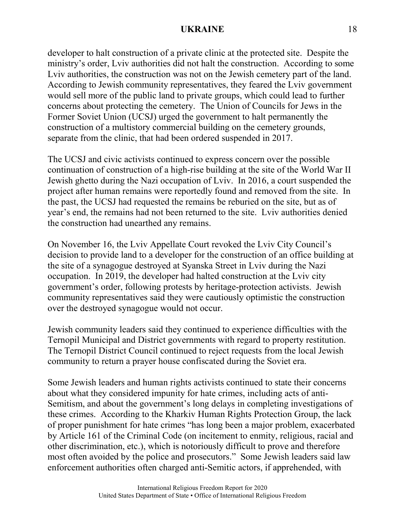developer to halt construction of a private clinic at the protected site. Despite the ministry's order, Lviv authorities did not halt the construction. According to some Lviv authorities, the construction was not on the Jewish cemetery part of the land. According to Jewish community representatives, they feared the Lviv government would sell more of the public land to private groups, which could lead to further concerns about protecting the cemetery. The Union of Councils for Jews in the Former Soviet Union (UCSJ) urged the government to halt permanently the construction of a multistory commercial building on the cemetery grounds, separate from the clinic, that had been ordered suspended in 2017.

The UCSJ and civic activists continued to express concern over the possible continuation of construction of a high-rise building at the site of the World War II Jewish ghetto during the Nazi occupation of Lviv. In 2016, a court suspended the project after human remains were reportedly found and removed from the site. In the past, the UCSJ had requested the remains be reburied on the site, but as of year's end, the remains had not been returned to the site. Lviv authorities denied the construction had unearthed any remains.

On November 16, the Lviv Appellate Court revoked the Lviv City Council's decision to provide land to a developer for the construction of an office building at the site of a synagogue destroyed at Syanska Street in Lviv during the Nazi occupation. In 2019, the developer had halted construction at the Lviv city government's order, following protests by heritage-protection activists. Jewish community representatives said they were cautiously optimistic the construction over the destroyed synagogue would not occur.

Jewish community leaders said they continued to experience difficulties with the Ternopil Municipal and District governments with regard to property restitution. The Ternopil District Council continued to reject requests from the local Jewish community to return a prayer house confiscated during the Soviet era.

Some Jewish leaders and human rights activists continued to state their concerns about what they considered impunity for hate crimes, including acts of anti-Semitism, and about the government's long delays in completing investigations of these crimes. According to the Kharkiv Human Rights Protection Group, the lack of proper punishment for hate crimes "has long been a major problem, exacerbated by Article 161 of the Criminal Code (on incitement to enmity, religious, racial and other discrimination, etc.), which is notoriously difficult to prove and therefore most often avoided by the police and prosecutors." Some Jewish leaders said law enforcement authorities often charged anti-Semitic actors, if apprehended, with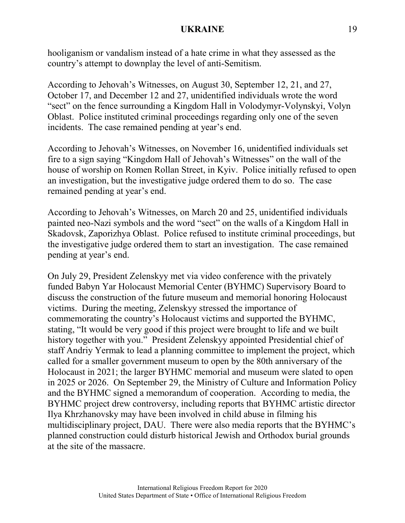hooliganism or vandalism instead of a hate crime in what they assessed as the country's attempt to downplay the level of anti-Semitism.

According to Jehovah's Witnesses, on August 30, September 12, 21, and 27, October 17, and December 12 and 27, unidentified individuals wrote the word "sect" on the fence surrounding a Kingdom Hall in Volodymyr-Volynskyi, Volyn Oblast. Police instituted criminal proceedings regarding only one of the seven incidents. The case remained pending at year's end.

According to Jehovah's Witnesses, on November 16, unidentified individuals set fire to a sign saying "Kingdom Hall of Jehovah's Witnesses" on the wall of the house of worship on Romen Rollan Street, in Kyiv. Police initially refused to open an investigation, but the investigative judge ordered them to do so. The case remained pending at year's end.

According to Jehovah's Witnesses, on March 20 and 25, unidentified individuals painted neo-Nazi symbols and the word "sect" on the walls of a Kingdom Hall in Skadovsk, Zaporizhya Oblast. Police refused to institute criminal proceedings, but the investigative judge ordered them to start an investigation. The case remained pending at year's end.

On July 29, President Zelenskyy met via video conference with the privately funded Babyn Yar Holocaust Memorial Center (BYHMC) Supervisory Board to discuss the construction of the future museum and memorial honoring Holocaust victims. During the meeting, Zelenskyy stressed the importance of commemorating the country's Holocaust victims and supported the BYHMC, stating, "It would be very good if this project were brought to life and we built history together with you." President Zelenskyy appointed Presidential chief of staff Andriy Yermak to lead a planning committee to implement the project, which called for a smaller government museum to open by the 80th anniversary of the Holocaust in 2021; the larger BYHMC memorial and museum were slated to open in 2025 or 2026. On September 29, the Ministry of Culture and Information Policy and the BYHMC signed a memorandum of cooperation. According to media, the BYHMC project drew controversy, including reports that BYHMC artistic director Ilya Khrzhanovsky may have been involved in child abuse in filming his multidisciplinary project, DAU. There were also media reports that the BYHMC's planned construction could disturb historical Jewish and Orthodox burial grounds at the site of the massacre.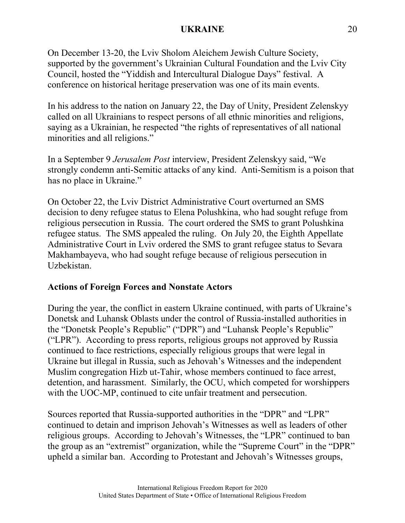On December 13-20, the Lviv Sholom Aleichem Jewish Culture Society, supported by the government's Ukrainian Cultural Foundation and the Lviv City Council, hosted the "Yiddish and Intercultural Dialogue Days" festival. A conference on historical heritage preservation was one of its main events.

In his address to the nation on January 22, the Day of Unity, President Zelenskyy called on all Ukrainians to respect persons of all ethnic minorities and religions, saying as a Ukrainian, he respected "the rights of representatives of all national minorities and all religions."

In a September 9 *Jerusalem Post* interview, President Zelenskyy said, "We strongly condemn anti-Semitic attacks of any kind. Anti-Semitism is a poison that has no place in Ukraine."

On October 22, the Lviv District Administrative Court overturned an SMS decision to deny refugee status to Elena Polushkina, who had sought refuge from religious persecution in Russia. The court ordered the SMS to grant Polushkina refugee status. The SMS appealed the ruling. On July 20, the Eighth Appellate Administrative Court in Lviv ordered the SMS to grant refugee status to Sevara Makhambayeva, who had sought refuge because of religious persecution in Uzbekistan.

# **Actions of Foreign Forces and Nonstate Actors**

During the year, the conflict in eastern Ukraine continued, with parts of Ukraine's Donetsk and Luhansk Oblasts under the control of Russia-installed authorities in the "Donetsk People's Republic" ("DPR") and "Luhansk People's Republic" ("LPR"). According to press reports, religious groups not approved by Russia continued to face restrictions, especially religious groups that were legal in Ukraine but illegal in Russia, such as Jehovah's Witnesses and the independent Muslim congregation Hizb ut-Tahir, whose members continued to face arrest, detention, and harassment. Similarly, the OCU, which competed for worshippers with the UOC-MP, continued to cite unfair treatment and persecution.

Sources reported that Russia-supported authorities in the "DPR" and "LPR" continued to detain and imprison Jehovah's Witnesses as well as leaders of other religious groups. According to Jehovah's Witnesses, the "LPR" continued to ban the group as an "extremist" organization, while the "Supreme Court" in the "DPR" upheld a similar ban. According to Protestant and Jehovah's Witnesses groups,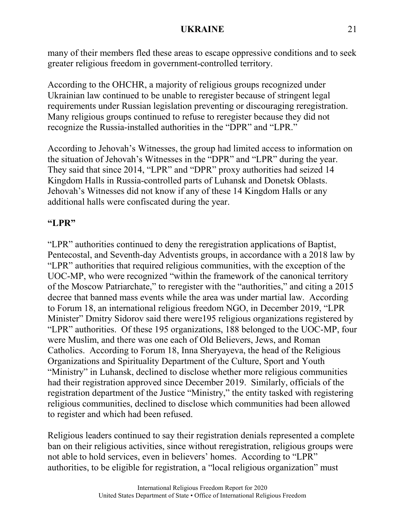many of their members fled these areas to escape oppressive conditions and to seek greater religious freedom in government-controlled territory.

According to the OHCHR, a majority of religious groups recognized under Ukrainian law continued to be unable to reregister because of stringent legal requirements under Russian legislation preventing or discouraging reregistration. Many religious groups continued to refuse to reregister because they did not recognize the Russia-installed authorities in the "DPR" and "LPR."

According to Jehovah's Witnesses, the group had limited access to information on the situation of Jehovah's Witnesses in the "DPR" and "LPR" during the year. They said that since 2014, "LPR" and "DPR" proxy authorities had seized 14 Kingdom Halls in Russia-controlled parts of Luhansk and Donetsk Oblasts. Jehovah's Witnesses did not know if any of these 14 Kingdom Halls or any additional halls were confiscated during the year.

# **"LPR"**

"LPR" authorities continued to deny the reregistration applications of Baptist, Pentecostal, and Seventh-day Adventists groups, in accordance with a 2018 law by "LPR" authorities that required religious communities, with the exception of the UOC-MP, who were recognized "within the framework of the canonical territory of the Moscow Patriarchate," to reregister with the "authorities," and citing a 2015 decree that banned mass events while the area was under martial law. According to Forum 18, an international religious freedom NGO, in December 2019, "LPR Minister" Dmitry Sidorov said there were195 religious organizations registered by "LPR" authorities. Of these 195 organizations, 188 belonged to the UOC-MP, four were Muslim, and there was one each of Old Believers, Jews, and Roman Catholics. According to Forum 18, Inna Sheryayeva, the head of the Religious Organizations and Spirituality Department of the Culture, Sport and Youth "Ministry" in Luhansk, declined to disclose whether more religious communities had their registration approved since December 2019. Similarly, officials of the registration department of the Justice "Ministry," the entity tasked with registering religious communities, declined to disclose which communities had been allowed to register and which had been refused.

Religious leaders continued to say their registration denials represented a complete ban on their religious activities, since without reregistration, religious groups were not able to hold services, even in believers' homes. According to "LPR" authorities, to be eligible for registration, a "local religious organization" must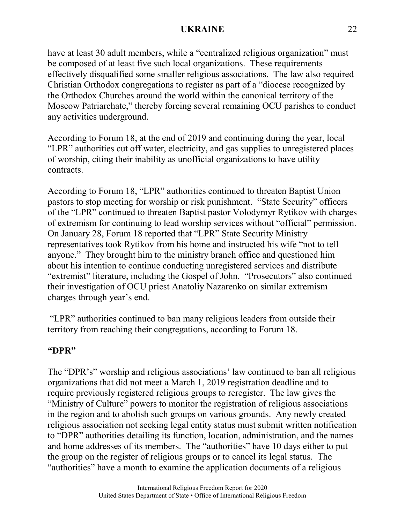have at least 30 adult members, while a "centralized religious organization" must be composed of at least five such local organizations. These requirements effectively disqualified some smaller religious associations. The law also required Christian Orthodox congregations to register as part of a "diocese recognized by the Orthodox Churches around the world within the canonical territory of the Moscow Patriarchate," thereby forcing several remaining OCU parishes to conduct any activities underground.

According to Forum 18, at the end of 2019 and continuing during the year, local "LPR" authorities cut off water, electricity, and gas supplies to unregistered places of worship, citing their inability as unofficial organizations to have utility contracts.

According to Forum 18, "LPR" authorities continued to threaten Baptist Union pastors to stop meeting for worship or risk punishment. "State Security" officers of the "LPR" continued to threaten Baptist pastor Volodymyr Rytikov with charges of extremism for continuing to lead worship services without "official" permission. On January 28, Forum 18 reported that "LPR" State Security Ministry representatives took Rytikov from his home and instructed his wife "not to tell anyone." They brought him to the ministry branch office and questioned him about his intention to continue conducting unregistered services and distribute "extremist" literature, including the Gospel of John. "Prosecutors" also continued their investigation of OCU priest Anatoliy Nazarenko on similar extremism charges through year's end.

"LPR" authorities continued to ban many religious leaders from outside their territory from reaching their congregations, according to Forum 18.

# **"DPR"**

The "DPR's" worship and religious associations' law continued to ban all religious organizations that did not meet a March 1, 2019 registration deadline and to require previously registered religious groups to reregister. The law gives the "Ministry of Culture" powers to monitor the registration of religious associations in the region and to abolish such groups on various grounds. Any newly created religious association not seeking legal entity status must submit written notification to "DPR" authorities detailing its function, location, administration, and the names and home addresses of its members. The "authorities" have 10 days either to put the group on the register of religious groups or to cancel its legal status. The "authorities" have a month to examine the application documents of a religious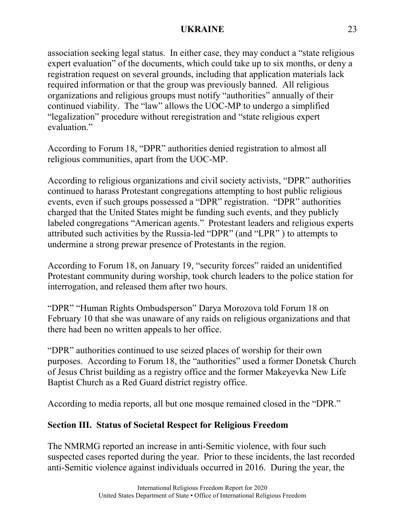association seeking legal status. In either case, they may conduct a "state religious expert evaluation" of the documents, which could take up to six months, or deny a registration request on several grounds, including that application materials lack required information or that the group was previously banned. All religious organizations and religious groups must notify "authorities" annually of their continued viability. The "law" allows the UOC-MP to undergo a simplified "legalization" procedure without reregistration and "state religious expert evaluation."

According to Forum 18, "DPR" authorities denied registration to almost all religious communities, apart from the UOC-MP.

According to religious organizations and civil society activists, "DPR" authorities continued to harass Protestant congregations attempting to host public religious events, even if such groups possessed a "DPR" registration. "DPR" authorities charged that the United States might be funding such events, and they publicly labeled congregations "American agents." Protestant leaders and religious experts attributed such activities by the Russia-led "DPR" (and "LPR" ) to attempts to undermine a strong prewar presence of Protestants in the region.

According to Forum 18, on January 19, "security forces" raided an unidentified Protestant community during worship, took church leaders to the police station for interrogation, and released them after two hours.

"DPR" "Human Rights Ombudsperson" Darya Morozova told Forum 18 on February 10 that she was unaware of any raids on religious organizations and that there had been no written appeals to her office.

"DPR" authorities continued to use seized places of worship for their own purposes. According to Forum 18, the "authorities" used a former Donetsk Church of Jesus Christ building as a registry office and the former Makeyevka New Life Baptist Church as a Red Guard district registry office.

According to media reports, all but one mosque remained closed in the "DPR."

# **Section III. Status of Societal Respect for Religious Freedom**

The NMRMG reported an increase in anti-Semitic violence, with four such suspected cases reported during the year. Prior to these incidents, the last recorded anti-Semitic violence against individuals occurred in 2016. During the year, the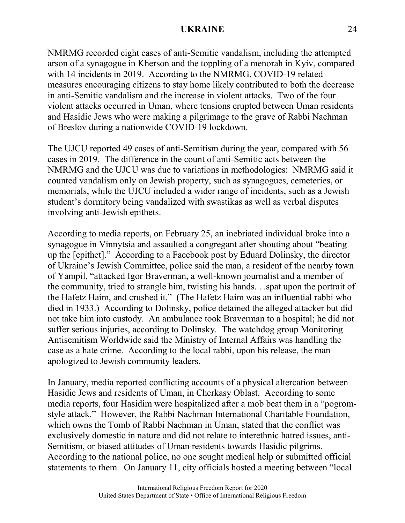NMRMG recorded eight cases of anti-Semitic vandalism, including the attempted arson of a synagogue in Kherson and the toppling of a menorah in Kyiv, compared with 14 incidents in 2019. According to the NMRMG, COVID-19 related measures encouraging citizens to stay home likely contributed to both the decrease in anti-Semitic vandalism and the increase in violent attacks. Two of the four violent attacks occurred in Uman, where tensions erupted between Uman residents and Hasidic Jews who were making a pilgrimage to the grave of Rabbi Nachman of Breslov during a nationwide COVID-19 lockdown.

The UJCU reported 49 cases of anti-Semitism during the year, compared with 56 cases in 2019. The difference in the count of anti-Semitic acts between the NMRMG and the UJCU was due to variations in methodologies: NMRMG said it counted vandalism only on Jewish property, such as synagogues, cemeteries, or memorials, while the UJCU included a wider range of incidents, such as a Jewish student's dormitory being vandalized with swastikas as well as verbal disputes involving anti-Jewish epithets.

According to media reports, on February 25, an inebriated individual broke into a synagogue in Vinnytsia and assaulted a congregant after shouting about "beating up the [epithet]." According to a Facebook post by Eduard Dolinsky, the director of Ukraine's Jewish Committee, police said the man, a resident of the nearby town of Yampil, "attacked Igor Braverman, a well-known journalist and a member of the community, tried to strangle him, twisting his hands. . .spat upon the portrait of the Hafetz Haim, and crushed it." (The Hafetz Haim was an influential rabbi who died in 1933.) According to Dolinsky, police detained the alleged attacker but did not take him into custody. An ambulance took Braverman to a hospital; he did not suffer serious injuries, according to Dolinsky. The watchdog group Monitoring Antisemitism Worldwide said the Ministry of Internal Affairs was handling the case as a hate crime. According to the local rabbi, upon his release, the man apologized to Jewish community leaders.

In January, media reported conflicting accounts of a physical altercation between Hasidic Jews and residents of Uman, in Cherkasy Oblast. According to some media reports, four Hasidim were hospitalized after a mob beat them in a "pogromstyle attack." However, the Rabbi Nachman International Charitable Foundation, which owns the Tomb of Rabbi Nachman in Uman, stated that the conflict was exclusively domestic in nature and did not relate to interethnic hatred issues, anti-Semitism, or biased attitudes of Uman residents towards Hasidic pilgrims. According to the national police, no one sought medical help or submitted official statements to them. On January 11, city officials hosted a meeting between "local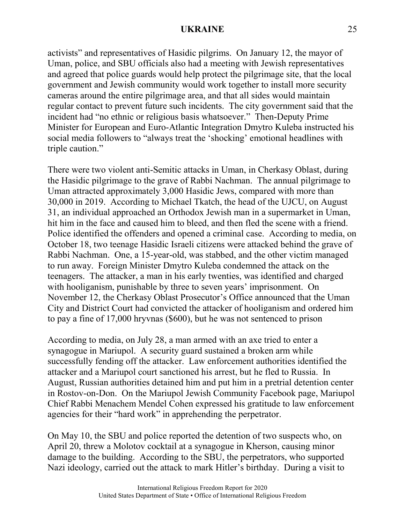activists" and representatives of Hasidic pilgrims. On January 12, the mayor of Uman, police, and SBU officials also had a meeting with Jewish representatives and agreed that police guards would help protect the pilgrimage site, that the local government and Jewish community would work together to install more security cameras around the entire pilgrimage area, and that all sides would maintain regular contact to prevent future such incidents. The city government said that the incident had "no ethnic or religious basis whatsoever." Then-Deputy Prime Minister for European and Euro-Atlantic Integration Dmytro Kuleba instructed his social media followers to "always treat the 'shocking' emotional headlines with triple caution."

There were two violent anti-Semitic attacks in Uman, in Cherkasy Oblast, during the Hasidic pilgrimage to the grave of Rabbi Nachman. The annual pilgrimage to Uman attracted approximately 3,000 Hasidic Jews, compared with more than 30,000 in 2019. According to Michael Tkatch, the head of the UJCU, on August 31, an individual approached an Orthodox Jewish man in a supermarket in Uman, hit him in the face and caused him to bleed, and then fled the scene with a friend. Police identified the offenders and opened a criminal case. According to media, on October 18, two teenage Hasidic Israeli citizens were attacked behind the grave of Rabbi Nachman. One, a 15-year-old, was stabbed, and the other victim managed to run away. Foreign Minister Dmytro Kuleba condemned the attack on the teenagers. The attacker, a man in his early twenties, was identified and charged with hooliganism, punishable by three to seven years' imprisonment. On November 12, the Cherkasy Oblast Prosecutor's Office announced that the Uman City and District Court had convicted the attacker of hooliganism and ordered him to pay a fine of 17,000 hryvnas (\$600), but he was not sentenced to prison

According to media, on July 28, a man armed with an axe tried to enter a synagogue in Mariupol. A security guard sustained a broken arm while successfully fending off the attacker. Law enforcement authorities identified the attacker and a Mariupol court sanctioned his arrest, but he fled to Russia. In August, Russian authorities detained him and put him in a pretrial detention center in Rostov-on-Don. On the Mariupol Jewish Community Facebook page, Mariupol Chief Rabbi Menachem Mendel Cohen expressed his gratitude to law enforcement agencies for their "hard work" in apprehending the perpetrator.

On May 10, the SBU and police reported the detention of two suspects who, on April 20, threw a Molotov cocktail at a synagogue in Kherson, causing minor damage to the building. According to the SBU, the perpetrators, who supported Nazi ideology, carried out the attack to mark Hitler's birthday. During a visit to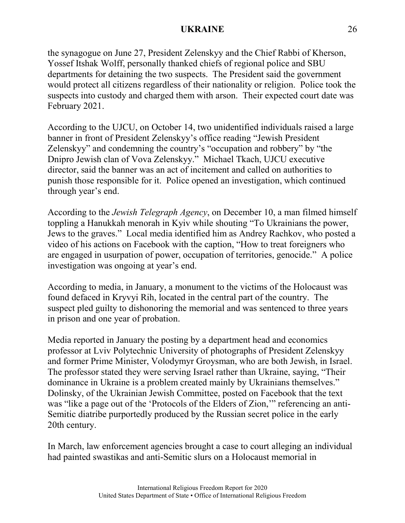the synagogue on June 27, President Zelenskyy and the Chief Rabbi of Kherson, Yossef Itshak Wolff, personally thanked chiefs of regional police and SBU departments for detaining the two suspects. The President said the government would protect all citizens regardless of their nationality or religion. Police took the suspects into custody and charged them with arson. Their expected court date was February 2021.

According to the UJCU, on October 14, two unidentified individuals raised a large banner in front of President Zelenskyy's office reading "Jewish President Zelenskyy" and condemning the country's "occupation and robbery" by "the Dnipro Jewish clan of Vova Zelenskyy." Michael Tkach, UJCU executive director, said the banner was an act of incitement and called on authorities to punish those responsible for it. Police opened an investigation, which continued through year's end.

According to the *Jewish Telegraph Agency*, on December 10, a man filmed himself toppling a Hanukkah menorah in Kyiv while shouting "To Ukrainians the power, Jews to the graves." Local media identified him as Andrey Rachkov, who posted a video of his actions on Facebook with the caption, "How to treat foreigners who are engaged in usurpation of power, occupation of territories, genocide." A police investigation was ongoing at year's end.

According to media, in January, a monument to the victims of the Holocaust was found defaced in Kryvyi Rih, located in the central part of the country. The suspect pled guilty to dishonoring the memorial and was sentenced to three years in prison and one year of probation.

Media reported in January the posting by a department head and economics professor at Lviv Polytechnic University of photographs of President Zelenskyy and former Prime Minister, Volodymyr Groysman, who are both Jewish, in Israel. The professor stated they were serving Israel rather than Ukraine, saying, "Their dominance in Ukraine is a problem created mainly by Ukrainians themselves." Dolinsky, of the Ukrainian Jewish Committee, posted on Facebook that the text was "like a page out of the 'Protocols of the Elders of Zion,'" referencing an anti-Semitic diatribe purportedly produced by the Russian secret police in the early 20th century.

In March, law enforcement agencies brought a case to court alleging an individual had painted swastikas and anti-Semitic slurs on a Holocaust memorial in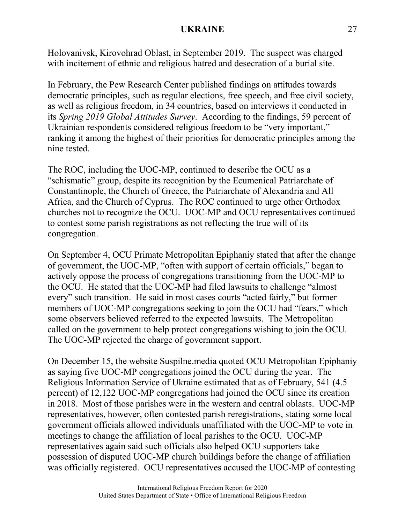Holovanivsk, Kirovohrad Oblast, in September 2019. The suspect was charged with incitement of ethnic and religious hatred and desecration of a burial site.

In February, the Pew Research Center published findings on attitudes towards democratic principles, such as regular elections, free speech, and free civil society, as well as religious freedom, in 34 countries, based on interviews it conducted in its *Spring 2019 Global Attitudes Survey*. According to the findings, 59 percent of Ukrainian respondents considered religious freedom to be "very important," ranking it among the highest of their priorities for democratic principles among the nine tested.

The ROC, including the UOC-MP, continued to describe the OCU as a "schismatic" group, despite its recognition by the Ecumenical Patriarchate of Constantinople, the Church of Greece, the Patriarchate of Alexandria and All Africa, and the Church of Cyprus. The ROC continued to urge other Orthodox churches not to recognize the OCU. UOC-MP and OCU representatives continued to contest some parish registrations as not reflecting the true will of its congregation.

On September 4, OCU Primate Metropolitan Epiphaniy stated that after the change of government, the UOC-MP, "often with support of certain officials," began to actively oppose the process of congregations transitioning from the UOC-MP to the OCU. He stated that the UOC-MP had filed lawsuits to challenge "almost every" such transition. He said in most cases courts "acted fairly," but former members of UOC-MP congregations seeking to join the OCU had "fears," which some observers believed referred to the expected lawsuits. The Metropolitan called on the government to help protect congregations wishing to join the OCU. The UOC-MP rejected the charge of government support.

On December 15, the website Suspilne.media quoted OCU Metropolitan Epiphaniy as saying five UOC-MP congregations joined the OCU during the year. The Religious Information Service of Ukraine estimated that as of February, 541 (4.5 percent) of 12,122 UOC-MP congregations had joined the OCU since its creation in 2018. Most of those parishes were in the western and central oblasts. UOC-MP representatives, however, often contested parish reregistrations, stating some local government officials allowed individuals unaffiliated with the UOC-MP to vote in meetings to change the affiliation of local parishes to the OCU. UOC-MP representatives again said such officials also helped OCU supporters take possession of disputed UOC-MP church buildings before the change of affiliation was officially registered. OCU representatives accused the UOC-MP of contesting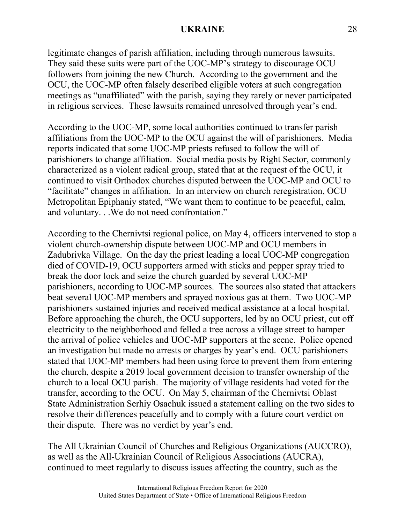legitimate changes of parish affiliation, including through numerous lawsuits. They said these suits were part of the UOC-MP's strategy to discourage OCU followers from joining the new Church. According to the government and the OCU, the UOC-MP often falsely described eligible voters at such congregation meetings as "unaffiliated" with the parish, saying they rarely or never participated in religious services. These lawsuits remained unresolved through year's end.

According to the UOC-MP, some local authorities continued to transfer parish affiliations from the UOC-MP to the OCU against the will of parishioners. Media reports indicated that some UOC-MP priests refused to follow the will of parishioners to change affiliation. Social media posts by Right Sector, commonly characterized as a violent radical group, stated that at the request of the OCU, it continued to visit Orthodox churches disputed between the UOC-MP and OCU to "facilitate" changes in affiliation. In an interview on church reregistration, OCU Metropolitan Epiphaniy stated, "We want them to continue to be peaceful, calm, and voluntary. . .We do not need confrontation."

According to the Chernivtsi regional police, on May 4, officers intervened to stop a violent church-ownership dispute between UOC-MP and OCU members in Zadubrivka Village. On the day the priest leading a local UOC-MP congregation died of COVID-19, OCU supporters armed with sticks and pepper spray tried to break the door lock and seize the church guarded by several UOC-MP parishioners, according to UOC-MP sources. The sources also stated that attackers beat several UOC-MP members and sprayed noxious gas at them. Two UOC-MP parishioners sustained injuries and received medical assistance at a local hospital. Before approaching the church, the OCU supporters, led by an OCU priest, cut off electricity to the neighborhood and felled a tree across a village street to hamper the arrival of police vehicles and UOC-MP supporters at the scene. Police opened an investigation but made no arrests or charges by year's end. OCU parishioners stated that UOC-MP members had been using force to prevent them from entering the church, despite a 2019 local government decision to transfer ownership of the church to a local OCU parish. The majority of village residents had voted for the transfer, according to the OCU. On May 5, chairman of the Chernivtsi Oblast State Administration Serhiy Osachuk issued a statement calling on the two sides to resolve their differences peacefully and to comply with a future court verdict on their dispute. There was no verdict by year's end.

The All Ukrainian Council of Churches and Religious Organizations (AUCCRO), as well as the All-Ukrainian Council of Religious Associations (AUCRA), continued to meet regularly to discuss issues affecting the country, such as the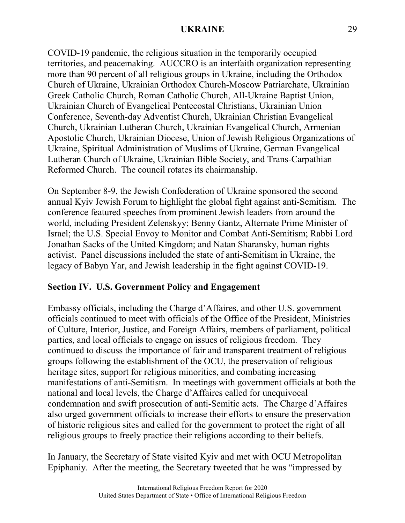COVID-19 pandemic, the religious situation in the temporarily occupied territories, and peacemaking. AUCCRO is an interfaith organization representing more than 90 percent of all religious groups in Ukraine, including the Orthodox Church of Ukraine, Ukrainian Orthodox Church-Moscow Patriarchate, Ukrainian Greek Catholic Church, Roman Catholic Church, All-Ukraine Baptist Union, Ukrainian Church of Evangelical Pentecostal Christians, Ukrainian Union Conference, Seventh-day Adventist Church, Ukrainian Christian Evangelical Church, Ukrainian Lutheran Church, Ukrainian Evangelical Church, Armenian Apostolic Church, Ukrainian Diocese, Union of Jewish Religious Organizations of Ukraine, Spiritual Administration of Muslims of Ukraine, German Evangelical Lutheran Church of Ukraine, Ukrainian Bible Society, and Trans-Carpathian Reformed Church. The council rotates its chairmanship.

On September 8-9, the Jewish Confederation of Ukraine sponsored the second annual Kyiv Jewish Forum to highlight the global fight against anti-Semitism. The conference featured speeches from prominent Jewish leaders from around the world, including President Zelenskyy; Benny Gantz, Alternate Prime Minister of Israel; the U.S. Special Envoy to Monitor and Combat Anti-Semitism; Rabbi Lord Jonathan Sacks of the United Kingdom; and Natan Sharansky, human rights activist. Panel discussions included the state of anti-Semitism in Ukraine, the legacy of Babyn Yar, and Jewish leadership in the fight against COVID-19.

# **Section IV. U.S. Government Policy and Engagement**

Embassy officials, including the Charge d'Affaires, and other U.S. government officials continued to meet with officials of the Office of the President, Ministries of Culture, Interior, Justice, and Foreign Affairs, members of parliament, political parties, and local officials to engage on issues of religious freedom. They continued to discuss the importance of fair and transparent treatment of religious groups following the establishment of the OCU, the preservation of religious heritage sites, support for religious minorities, and combating increasing manifestations of anti-Semitism. In meetings with government officials at both the national and local levels, the Charge d'Affaires called for unequivocal condemnation and swift prosecution of anti-Semitic acts. The Charge d'Affaires also urged government officials to increase their efforts to ensure the preservation of historic religious sites and called for the government to protect the right of all religious groups to freely practice their religions according to their beliefs.

In January, the Secretary of State visited Kyiv and met with OCU Metropolitan Epiphaniy. After the meeting, the Secretary tweeted that he was "impressed by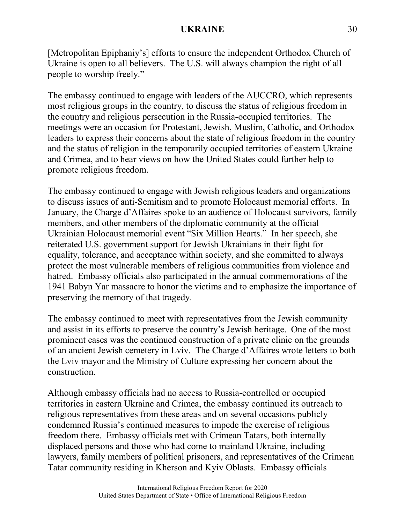[Metropolitan Epiphaniy's] efforts to ensure the independent Orthodox Church of Ukraine is open to all believers. The U.S. will always champion the right of all people to worship freely."

The embassy continued to engage with leaders of the AUCCRO, which represents most religious groups in the country, to discuss the status of religious freedom in the country and religious persecution in the Russia-occupied territories. The meetings were an occasion for Protestant, Jewish, Muslim, Catholic, and Orthodox leaders to express their concerns about the state of religious freedom in the country and the status of religion in the temporarily occupied territories of eastern Ukraine and Crimea, and to hear views on how the United States could further help to promote religious freedom.

The embassy continued to engage with Jewish religious leaders and organizations to discuss issues of anti-Semitism and to promote Holocaust memorial efforts. In January, the Charge d'Affaires spoke to an audience of Holocaust survivors, family members, and other members of the diplomatic community at the official Ukrainian Holocaust memorial event "Six Million Hearts." In her speech, she reiterated U.S. government support for Jewish Ukrainians in their fight for equality, tolerance, and acceptance within society, and she committed to always protect the most vulnerable members of religious communities from violence and hatred. Embassy officials also participated in the annual commemorations of the 1941 Babyn Yar massacre to honor the victims and to emphasize the importance of preserving the memory of that tragedy.

The embassy continued to meet with representatives from the Jewish community and assist in its efforts to preserve the country's Jewish heritage. One of the most prominent cases was the continued construction of a private clinic on the grounds of an ancient Jewish cemetery in Lviv. The Charge d'Affaires wrote letters to both the Lviv mayor and the Ministry of Culture expressing her concern about the construction.

Although embassy officials had no access to Russia-controlled or occupied territories in eastern Ukraine and Crimea, the embassy continued its outreach to religious representatives from these areas and on several occasions publicly condemned Russia's continued measures to impede the exercise of religious freedom there. Embassy officials met with Crimean Tatars, both internally displaced persons and those who had come to mainland Ukraine, including lawyers, family members of political prisoners, and representatives of the Crimean Tatar community residing in Kherson and Kyiv Oblasts. Embassy officials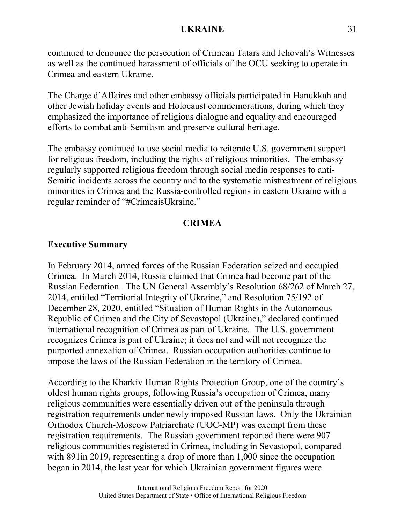continued to denounce the persecution of Crimean Tatars and Jehovah's Witnesses as well as the continued harassment of officials of the OCU seeking to operate in Crimea and eastern Ukraine.

The Charge d'Affaires and other embassy officials participated in Hanukkah and other Jewish holiday events and Holocaust commemorations, during which they emphasized the importance of religious dialogue and equality and encouraged efforts to combat anti-Semitism and preserve cultural heritage.

The embassy continued to use social media to reiterate U.S. government support for religious freedom, including the rights of religious minorities. The embassy regularly supported religious freedom through social media responses to anti-Semitic incidents across the country and to the systematic mistreatment of religious minorities in Crimea and the Russia-controlled regions in eastern Ukraine with a regular reminder of "#CrimeaisUkraine."

### **CRIMEA**

# **Executive Summary**

In February 2014, armed forces of the Russian Federation seized and occupied Crimea. In March 2014, Russia claimed that Crimea had become part of the Russian Federation. The UN General Assembly's Resolution 68/262 of March 27, 2014, entitled "Territorial Integrity of Ukraine," and Resolution 75/192 of December 28, 2020, entitled "Situation of Human Rights in the Autonomous Republic of Crimea and the City of Sevastopol (Ukraine)," declared continued international recognition of Crimea as part of Ukraine. The U.S. government recognizes Crimea is part of Ukraine; it does not and will not recognize the purported annexation of Crimea. Russian occupation authorities continue to impose the laws of the Russian Federation in the territory of Crimea.

According to the Kharkiv Human Rights Protection Group, one of the country's oldest human rights groups, following Russia's occupation of Crimea, many religious communities were essentially driven out of the peninsula through registration requirements under newly imposed Russian laws. Only the Ukrainian Orthodox Church-Moscow Patriarchate (UOC-MP) was exempt from these registration requirements. The Russian government reported there were 907 religious communities registered in Crimea, including in Sevastopol, compared with 891 in 2019, representing a drop of more than 1,000 since the occupation began in 2014, the last year for which Ukrainian government figures were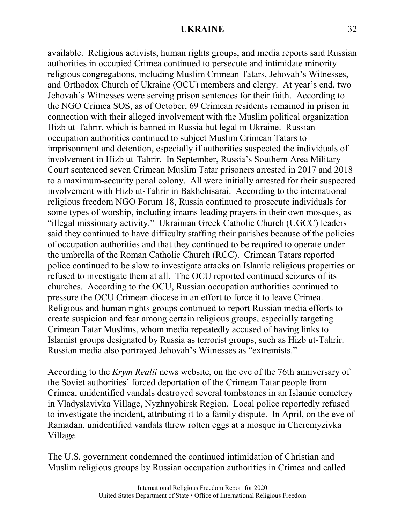available. Religious activists, human rights groups, and media reports said Russian authorities in occupied Crimea continued to persecute and intimidate minority religious congregations, including Muslim Crimean Tatars, Jehovah's Witnesses, and Orthodox Church of Ukraine (OCU) members and clergy. At year's end, two Jehovah's Witnesses were serving prison sentences for their faith. According to the NGO Crimea SOS, as of October, 69 Crimean residents remained in prison in connection with their alleged involvement with the Muslim political organization Hizb ut-Tahrir, which is banned in Russia but legal in Ukraine. Russian occupation authorities continued to subject Muslim Crimean Tatars to imprisonment and detention, especially if authorities suspected the individuals of involvement in Hizb ut-Tahrir. In September, Russia's Southern Area Military Court sentenced seven Crimean Muslim Tatar prisoners arrested in 2017 and 2018 to a maximum-security penal colony. All were initially arrested for their suspected involvement with Hizb ut-Tahrir in Bakhchisarai. According to the international religious freedom NGO Forum 18, Russia continued to prosecute individuals for some types of worship, including imams leading prayers in their own mosques, as "illegal missionary activity." Ukrainian Greek Catholic Church (UGCC) leaders said they continued to have difficulty staffing their parishes because of the policies of occupation authorities and that they continued to be required to operate under the umbrella of the Roman Catholic Church (RCC). Crimean Tatars reported police continued to be slow to investigate attacks on Islamic religious properties or refused to investigate them at all. The OCU reported continued seizures of its churches. According to the OCU, Russian occupation authorities continued to pressure the OCU Crimean diocese in an effort to force it to leave Crimea. Religious and human rights groups continued to report Russian media efforts to create suspicion and fear among certain religious groups, especially targeting Crimean Tatar Muslims, whom media repeatedly accused of having links to Islamist groups designated by Russia as terrorist groups, such as Hizb ut-Tahrir. Russian media also portrayed Jehovah's Witnesses as "extremists."

According to the *Krym Realii* news website, on the eve of the 76th anniversary of the Soviet authorities' forced deportation of the Crimean Tatar people from Crimea, unidentified vandals destroyed several tombstones in an Islamic cemetery in Vladyslavivka Village, Nyzhnyohirsk Region. Local police reportedly refused to investigate the incident, attributing it to a family dispute. In April, on the eve of Ramadan, unidentified vandals threw rotten eggs at a mosque in Cheremyzivka Village.

The U.S. government condemned the continued intimidation of Christian and Muslim religious groups by Russian occupation authorities in Crimea and called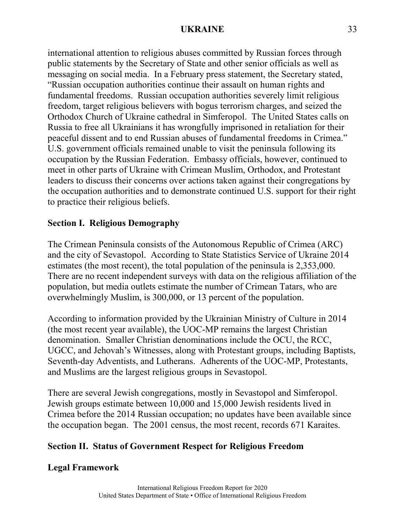international attention to religious abuses committed by Russian forces through public statements by the Secretary of State and other senior officials as well as messaging on social media. In a February press statement, the Secretary stated, "Russian occupation authorities continue their assault on human rights and fundamental freedoms. Russian occupation authorities severely limit religious freedom, target religious believers with bogus terrorism charges, and seized the Orthodox Church of Ukraine cathedral in Simferopol. The United States calls on Russia to free all Ukrainians it has wrongfully imprisoned in retaliation for their peaceful dissent and to end Russian abuses of fundamental freedoms in Crimea." U.S. government officials remained unable to visit the peninsula following its occupation by the Russian Federation. Embassy officials, however, continued to meet in other parts of Ukraine with Crimean Muslim, Orthodox, and Protestant leaders to discuss their concerns over actions taken against their congregations by the occupation authorities and to demonstrate continued U.S. support for their right to practice their religious beliefs.

# **Section I. Religious Demography**

The Crimean Peninsula consists of the Autonomous Republic of Crimea (ARC) and the city of Sevastopol. According to State Statistics Service of Ukraine 2014 estimates (the most recent), the total population of the peninsula is 2,353,000. There are no recent independent surveys with data on the religious affiliation of the population, but media outlets estimate the number of Crimean Tatars, who are overwhelmingly Muslim, is 300,000, or 13 percent of the population.

According to information provided by the Ukrainian Ministry of Culture in 2014 (the most recent year available), the UOC-MP remains the largest Christian denomination. Smaller Christian denominations include the OCU, the RCC, UGCC, and Jehovah's Witnesses, along with Protestant groups, including Baptists, Seventh-day Adventists, and Lutherans. Adherents of the UOC-MP, Protestants, and Muslims are the largest religious groups in Sevastopol.

There are several Jewish congregations, mostly in Sevastopol and Simferopol. Jewish groups estimate between 10,000 and 15,000 Jewish residents lived in Crimea before the 2014 Russian occupation; no updates have been available since the occupation began. The 2001 census, the most recent, records 671 Karaites.

# **Section II. Status of Government Respect for Religious Freedom**

# **Legal Framework**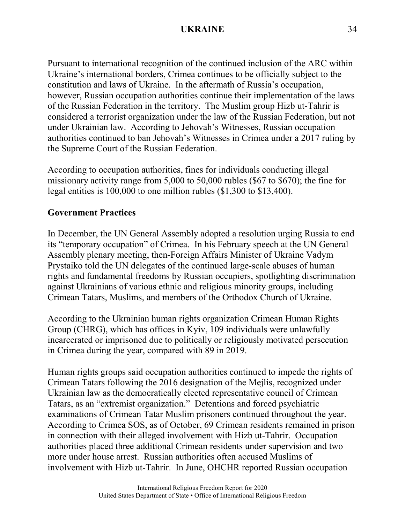Pursuant to international recognition of the continued inclusion of the ARC within Ukraine's international borders, Crimea continues to be officially subject to the constitution and laws of Ukraine. In the aftermath of Russia's occupation, however, Russian occupation authorities continue their implementation of the laws of the Russian Federation in the territory. The Muslim group Hizb ut-Tahrir is considered a terrorist organization under the law of the Russian Federation, but not under Ukrainian law. According to Jehovah's Witnesses, Russian occupation authorities continued to ban Jehovah's Witnesses in Crimea under a 2017 ruling by the Supreme Court of the Russian Federation.

According to occupation authorities, fines for individuals conducting illegal missionary activity range from 5,000 to 50,000 rubles (\$67 to \$670); the fine for legal entities is 100,000 to one million rubles (\$1,300 to \$13,400).

# **Government Practices**

In December, the UN General Assembly adopted a resolution urging Russia to end its "temporary occupation" of Crimea. In his February speech at the UN General Assembly plenary meeting, then-Foreign Affairs Minister of Ukraine Vadym Prystaiko told the UN delegates of the continued large-scale abuses of human rights and fundamental freedoms by Russian occupiers, spotlighting discrimination against Ukrainians of various ethnic and religious minority groups, including Crimean Tatars, Muslims, and members of the Orthodox Church of Ukraine.

According to the Ukrainian human rights organization Crimean Human Rights Group (CHRG), which has offices in Kyiv, 109 individuals were unlawfully incarcerated or imprisoned due to politically or religiously motivated persecution in Crimea during the year, compared with 89 in 2019.

Human rights groups said occupation authorities continued to impede the rights of Crimean Tatars following the 2016 designation of the Mejlis, recognized under Ukrainian law as the democratically elected representative council of Crimean Tatars, as an "extremist organization." Detentions and forced psychiatric examinations of Crimean Tatar Muslim prisoners continued throughout the year. According to Crimea SOS, as of October, 69 Crimean residents remained in prison in connection with their alleged involvement with Hizb ut-Tahrir. Occupation authorities placed three additional Crimean residents under supervision and two more under house arrest. Russian authorities often accused Muslims of involvement with Hizb ut-Tahrir. In June, OHCHR reported Russian occupation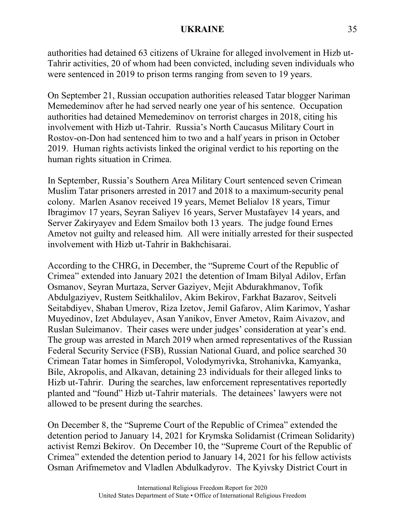authorities had detained 63 citizens of Ukraine for alleged involvement in Hizb ut-Tahrir activities, 20 of whom had been convicted, including seven individuals who were sentenced in 2019 to prison terms ranging from seven to 19 years.

On September 21, Russian occupation authorities released Tatar blogger Nariman Memedeminov after he had served nearly one year of his sentence. Occupation authorities had detained Memedeminov on terrorist charges in 2018, citing his involvement with Hizb ut-Tahrir. Russia's North Caucasus Military Court in Rostov-on-Don had sentenced him to two and a half years in prison in October 2019. Human rights activists linked the original verdict to his reporting on the human rights situation in Crimea.

In September, Russia's Southern Area Military Court sentenced seven Crimean Muslim Tatar prisoners arrested in 2017 and 2018 to a maximum-security penal colony. Marlen Asanov received 19 years, Memet Belialov 18 years, Timur Ibragimov 17 years, Seyran Saliyev 16 years, Server Mustafayev 14 years, and Server Zakiryayev and Edem Smailov both 13 years. The judge found Ernes Ametov not guilty and released him. All were initially arrested for their suspected involvement with Hizb ut-Tahrir in Bakhchisarai.

According to the CHRG, in December, the "Supreme Court of the Republic of Crimea" extended into January 2021 the detention of Imam Bilyal Adilov, Erfan Osmanov, Seyran Murtaza, Server Gaziyev, Mejit Abdurakhmanov, Tofik Abdulgaziyev, Rustem Seitkhalilov, Akim Bekirov, Farkhat Bazarov, Seitveli Seitabdiyev, Shaban Umerov, Riza Izetov, Jemil Gafarov, Alim Karimov, Yashar Muyedinov, Izet Abdulayev, Asan Yanikov, Enver Ametov, Raim Aivazov, and Ruslan Suleimanov. Their cases were under judges' consideration at year's end. The group was arrested in March 2019 when armed representatives of the Russian Federal Security Service (FSB), Russian National Guard, and police searched 30 Crimean Tatar homes in Simferopol, Volodymyrivka, Strohanivka, Kamyanka, Bile, Akropolis, and Alkavan, detaining 23 individuals for their alleged links to Hizb ut-Tahrir. During the searches, law enforcement representatives reportedly planted and "found" Hizb ut-Tahrir materials. The detainees' lawyers were not allowed to be present during the searches.

On December 8, the "Supreme Court of the Republic of Crimea" extended the detention period to January 14, 2021 for Krymska Solidarnist (Crimean Solidarity) activist Remzi Bekirov. On December 10, the "Supreme Court of the Republic of Crimea" extended the detention period to January 14, 2021 for his fellow activists Osman Arifmemetov and Vladlen Abdulkadyrov. The Kyivsky District Court in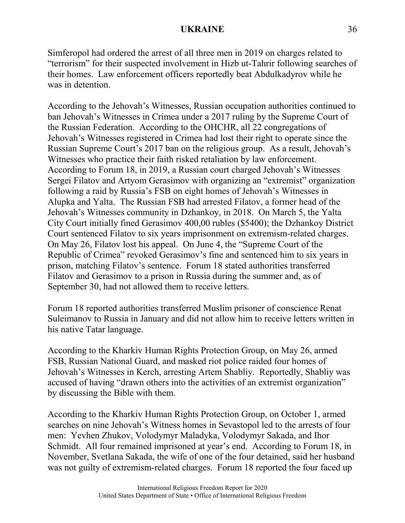Simferopol had ordered the arrest of all three men in 2019 on charges related to "terrorism" for their suspected involvement in Hizb ut-Tahrir following searches of their homes. Law enforcement officers reportedly beat Abdulkadyrov while he was in detention.

According to the Jehovah's Witnesses, Russian occupation authorities continued to ban Jehovah's Witnesses in Crimea under a 2017 ruling by the Supreme Court of the Russian Federation. According to the OHCHR, all 22 congregations of Jehovah's Witnesses registered in Crimea had lost their right to operate since the Russian Supreme Court's 2017 ban on the religious group. As a result, Jehovah's Witnesses who practice their faith risked retaliation by law enforcement. According to Forum 18, in 2019, a Russian court charged Jehovah's Witnesses Sergei Filatov and Artyom Gerasimov with organizing an "extremist" organization following a raid by Russia's FSB on eight homes of Jehovah's Witnesses in Alupka and Yalta. The Russian FSB had arrested Filatov, a former head of the Jehovah's Witnesses community in Dzhankoy, in 2018. On March 5, the Yalta City Court initially fined Gerasimov 400,00 rubles (\$5400); the Dzhankoy District Court sentenced Filatov to six years imprisonment on extremism-related charges. On May 26, Filatov lost his appeal. On June 4, the "Supreme Court of the Republic of Crimea" revoked Gerasimov's fine and sentenced him to six years in prison, matching Filatov's sentence. Forum 18 stated authorities transferred Filatov and Gerasimov to a prison in Russia during the summer and, as of September 30, had not allowed them to receive letters.

Forum 18 reported authorities transferred Muslim prisoner of conscience Renat Suleimanov to Russia in January and did not allow him to receive letters written in his native Tatar language.

According to the Kharkiv Human Rights Protection Group, on May 26, armed FSB, Russian National Guard, and masked riot police raided four homes of Jehovah's Witnesses in Kerch, arresting Artem Shabliy. Reportedly, Shabliy was accused of having "drawn others into the activities of an extremist organization" by discussing the Bible with them.

According to the Kharkiv Human Rights Protection Group, on October 1, armed searches on nine Jehovah's Witness homes in Sevastopol led to the arrests of four men: Yevhen Zhukov, Volodymyr Maladyka, Volodymyr Sakada, and Ihor Schmidt. All four remained imprisoned at year's end. According to Forum 18, in November, Svetlana Sakada, the wife of one of the four detained, said her husband was not guilty of extremism-related charges. Forum 18 reported the four faced up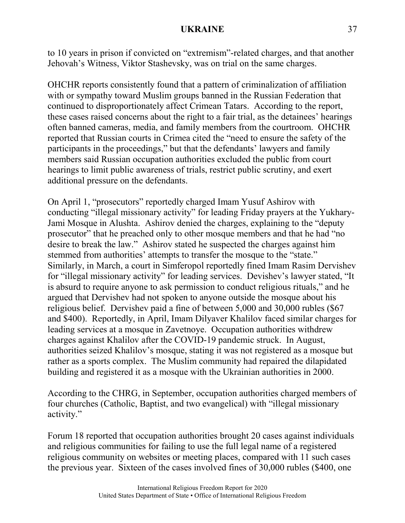to 10 years in prison if convicted on "extremism"-related charges, and that another Jehovah's Witness, Viktor Stashevsky, was on trial on the same charges.

OHCHR reports consistently found that a pattern of criminalization of affiliation with or sympathy toward Muslim groups banned in the Russian Federation that continued to disproportionately affect Crimean Tatars. According to the report, these cases raised concerns about the right to a fair trial, as the detainees' hearings often banned cameras, media, and family members from the courtroom. OHCHR reported that Russian courts in Crimea cited the "need to ensure the safety of the participants in the proceedings," but that the defendants' lawyers and family members said Russian occupation authorities excluded the public from court hearings to limit public awareness of trials, restrict public scrutiny, and exert additional pressure on the defendants.

On April 1, "prosecutors" reportedly charged Imam Yusuf Ashirov with conducting "illegal missionary activity" for leading Friday prayers at the Yukhary-Jami Mosque in Alushta. Ashirov denied the charges, explaining to the "deputy prosecutor" that he preached only to other mosque members and that he had "no desire to break the law." Ashirov stated he suspected the charges against him stemmed from authorities' attempts to transfer the mosque to the "state." Similarly, in March, a court in Simferopol reportedly fined Imam Rasim Dervishev for "illegal missionary activity" for leading services. Devishev's lawyer stated, "It is absurd to require anyone to ask permission to conduct religious rituals," and he argued that Dervishev had not spoken to anyone outside the mosque about his religious belief. Dervishev paid a fine of between 5,000 and 30,000 rubles (\$67 and \$400). Reportedly, in April, Imam Dilyaver Khalilov faced similar charges for leading services at a mosque in Zavetnoye. Occupation authorities withdrew charges against Khalilov after the COVID-19 pandemic struck. In August, authorities seized Khalilov's mosque, stating it was not registered as a mosque but rather as a sports complex. The Muslim community had repaired the dilapidated building and registered it as a mosque with the Ukrainian authorities in 2000.

According to the CHRG, in September, occupation authorities charged members of four churches (Catholic, Baptist, and two evangelical) with "illegal missionary activity."

Forum 18 reported that occupation authorities brought 20 cases against individuals and religious communities for failing to use the full legal name of a registered religious community on websites or meeting places, compared with 11 such cases the previous year. Sixteen of the cases involved fines of 30,000 rubles (\$400, one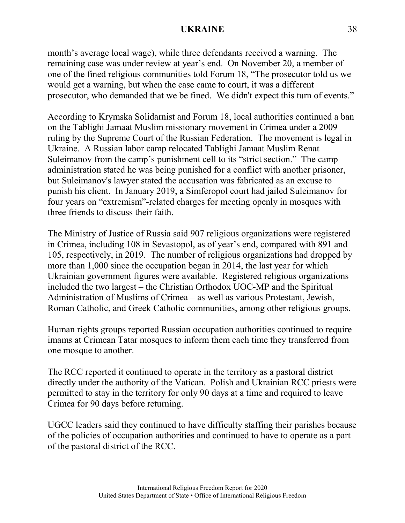month's average local wage), while three defendants received a warning. The remaining case was under review at year's end. On November 20, a member of one of the fined religious communities told Forum 18, "The prosecutor told us we would get a warning, but when the case came to court, it was a different prosecutor, who demanded that we be fined. We didn't expect this turn of events."

According to Krymska Solidarnist and Forum 18, local authorities continued a ban on the Tablighi Jamaat Muslim missionary movement in Crimea under a 2009 ruling by the Supreme Court of the Russian Federation. The movement is legal in Ukraine. A Russian labor camp relocated Tablighi Jamaat Muslim Renat Suleimanov from the camp's punishment cell to its "strict section." The camp administration stated he was being punished for a conflict with another prisoner, but Suleimanov's lawyer stated the accusation was fabricated as an excuse to punish his client. In January 2019, a Simferopol court had jailed Suleimanov for four years on "extremism"-related charges for meeting openly in mosques with three friends to discuss their faith.

The Ministry of Justice of Russia said 907 religious organizations were registered in Crimea, including 108 in Sevastopol, as of year's end, compared with 891 and 105, respectively, in 2019. The number of religious organizations had dropped by more than 1,000 since the occupation began in 2014, the last year for which Ukrainian government figures were available. Registered religious organizations included the two largest – the Christian Orthodox UOC-MP and the Spiritual Administration of Muslims of Crimea – as well as various Protestant, Jewish, Roman Catholic, and Greek Catholic communities, among other religious groups.

Human rights groups reported Russian occupation authorities continued to require imams at Crimean Tatar mosques to inform them each time they transferred from one mosque to another.

The RCC reported it continued to operate in the territory as a pastoral district directly under the authority of the Vatican. Polish and Ukrainian RCC priests were permitted to stay in the territory for only 90 days at a time and required to leave Crimea for 90 days before returning.

UGCC leaders said they continued to have difficulty staffing their parishes because of the policies of occupation authorities and continued to have to operate as a part of the pastoral district of the RCC.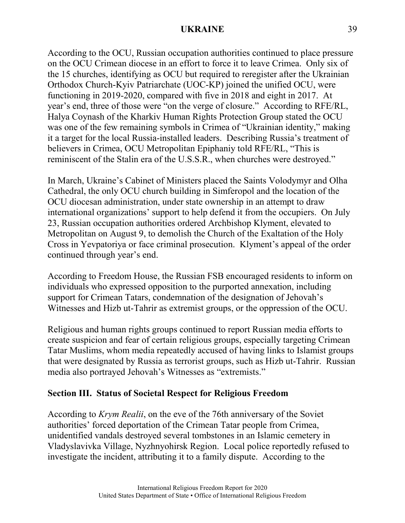According to the OCU, Russian occupation authorities continued to place pressure on the OCU Crimean diocese in an effort to force it to leave Crimea. Only six of the 15 churches, identifying as OCU but required to reregister after the Ukrainian Orthodox Church-Kyiv Patriarchate (UOC-KP) joined the unified OCU, were functioning in 2019-2020, compared with five in 2018 and eight in 2017. At year's end, three of those were "on the verge of closure." According to RFE/RL, Halya Coynash of the Kharkiv Human Rights Protection Group stated the OCU was one of the few remaining symbols in Crimea of "Ukrainian identity," making it a target for the local Russia-installed leaders. Describing Russia's treatment of believers in Crimea, OCU Metropolitan Epiphaniy told RFE/RL, "This is reminiscent of the Stalin era of the U.S.S.R., when churches were destroyed."

In March, Ukraine's Cabinet of Ministers placed the Saints Volodymyr and Olha Cathedral, the only OCU church building in Simferopol and the location of the OCU diocesan administration, under state ownership in an attempt to draw international organizations' support to help defend it from the occupiers. On July 23, Russian occupation authorities ordered Archbishop Klyment, elevated to Metropolitan on August 9, to demolish the Church of the Exaltation of the Holy Cross in Yevpatoriya or face criminal prosecution. Klyment's appeal of the order continued through year's end.

According to Freedom House, the Russian FSB encouraged residents to inform on individuals who expressed opposition to the purported annexation, including support for Crimean Tatars, condemnation of the designation of Jehovah's Witnesses and Hizb ut-Tahrir as extremist groups, or the oppression of the OCU.

Religious and human rights groups continued to report Russian media efforts to create suspicion and fear of certain religious groups, especially targeting Crimean Tatar Muslims, whom media repeatedly accused of having links to Islamist groups that were designated by Russia as terrorist groups, such as Hizb ut-Tahrir. Russian media also portrayed Jehovah's Witnesses as "extremists."

# **Section III. Status of Societal Respect for Religious Freedom**

According to *Krym Realii*, on the eve of the 76th anniversary of the Soviet authorities' forced deportation of the Crimean Tatar people from Crimea, unidentified vandals destroyed several tombstones in an Islamic cemetery in Vladyslavivka Village, Nyzhnyohirsk Region. Local police reportedly refused to investigate the incident, attributing it to a family dispute. According to the